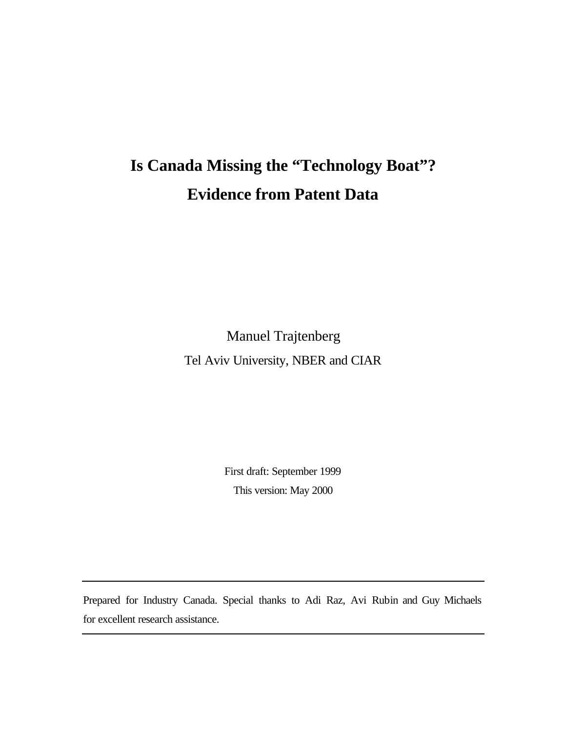# **Is Canada Missing the "Technology Boat"? Evidence from Patent Data**

Manuel Trajtenberg Tel Aviv University, NBER and CIAR

> First draft: September 1999 This version: May 2000

Prepared for Industry Canada. Special thanks to Adi Raz, Avi Rubin and Guy Michaels for excellent research assistance.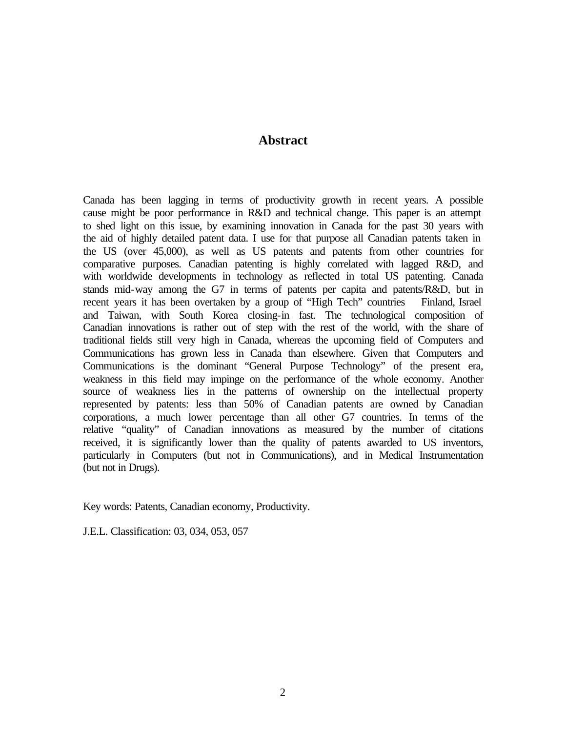### **Abstract**

Canada has been lagging in terms of productivity growth in recent years. A possible cause might be poor performance in R&D and technical change. This paper is an attempt to shed light on this issue, by examining innovation in Canada for the past 30 years with the aid of highly detailed patent data. I use for that purpose all Canadian patents taken in the US (over 45,000), as well as US patents and patents from other countries for comparative purposes. Canadian patenting is highly correlated with lagged R&D, and with worldwide developments in technology as reflected in total US patenting. Canada stands mid-way among the G7 in terms of patents per capita and patents/R&D, but in recent years it has been overtaken by a group of "High Tech" countries Finland, Israel and Taiwan, with South Korea closing-in fast. The technological composition of Canadian innovations is rather out of step with the rest of the world, with the share of traditional fields still very high in Canada, whereas the upcoming field of Computers and Communications has grown less in Canada than elsewhere. Given that Computers and Communications is the dominant "General Purpose Technology" of the present era, weakness in this field may impinge on the performance of the whole economy. Another source of weakness lies in the patterns of ownership on the intellectual property represented by patents: less than 50% of Canadian patents are owned by Canadian corporations, a much lower percentage than all other G7 countries. In terms of the relative "quality" of Canadian innovations as measured by the number of citations received, it is significantly lower than the quality of patents awarded to US inventors, particularly in Computers (but not in Communications), and in Medical Instrumentation (but not in Drugs).

Key words: Patents, Canadian economy, Productivity.

J.E.L. Classification: 03, 034, 053, 057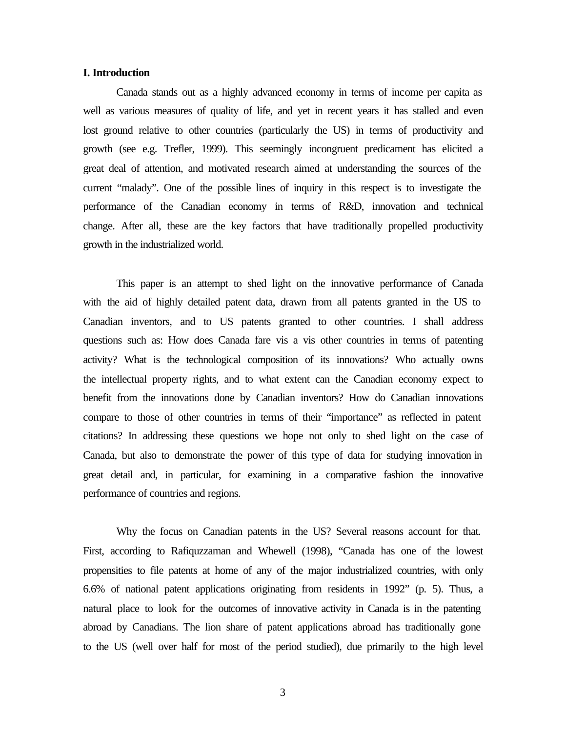### **I. Introduction**

Canada stands out as a highly advanced economy in terms of income per capita as well as various measures of quality of life, and yet in recent years it has stalled and even lost ground relative to other countries (particularly the US) in terms of productivity and growth (see e.g. Trefler, 1999). This seemingly incongruent predicament has elicited a great deal of attention, and motivated research aimed at understanding the sources of the current "malady". One of the possible lines of inquiry in this respect is to investigate the performance of the Canadian economy in terms of R&D, innovation and technical change. After all, these are the key factors that have traditionally propelled productivity growth in the industrialized world.

This paper is an attempt to shed light on the innovative performance of Canada with the aid of highly detailed patent data, drawn from all patents granted in the US to Canadian inventors, and to US patents granted to other countries. I shall address questions such as: How does Canada fare vis a vis other countries in terms of patenting activity? What is the technological composition of its innovations? Who actually owns the intellectual property rights, and to what extent can the Canadian economy expect to benefit from the innovations done by Canadian inventors? How do Canadian innovations compare to those of other countries in terms of their "importance" as reflected in patent citations? In addressing these questions we hope not only to shed light on the case of Canada, but also to demonstrate the power of this type of data for studying innovation in great detail and, in particular, for examining in a comparative fashion the innovative performance of countries and regions.

Why the focus on Canadian patents in the US? Several reasons account for that. First, according to Rafiquzzaman and Whewell (1998), "Canada has one of the lowest propensities to file patents at home of any of the major industrialized countries, with only 6.6% of national patent applications originating from residents in 1992" (p. 5). Thus, a natural place to look for the outcomes of innovative activity in Canada is in the patenting abroad by Canadians. The lion share of patent applications abroad has traditionally gone to the US (well over half for most of the period studied), due primarily to the high level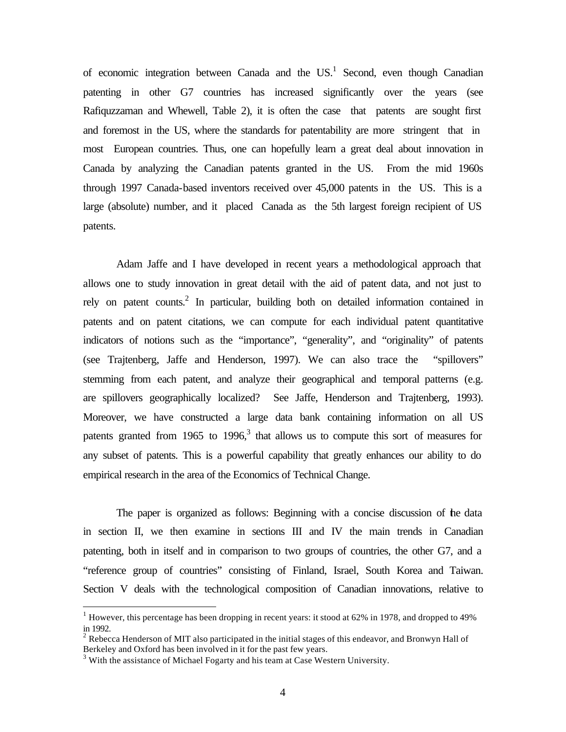of economic integration between Canada and the US.<sup>1</sup> Second, even though Canadian patenting in other G7 countries has increased significantly over the years (see Rafiquzzaman and Whewell, Table 2), it is often the case that patents are sought first and foremost in the US, where the standards for patentability are more stringent that in most European countries. Thus, one can hopefully learn a great deal about innovation in Canada by analyzing the Canadian patents granted in the US. From the mid 1960s through 1997 Canada-based inventors received over 45,000 patents in the US. This is a large (absolute) number, and it placed Canada as the 5th largest foreign recipient of US patents.

Adam Jaffe and I have developed in recent years a methodological approach that allows one to study innovation in great detail with the aid of patent data, and not just to rely on patent counts.<sup>2</sup> In particular, building both on detailed information contained in patents and on patent citations, we can compute for each individual patent quantitative indicators of notions such as the "importance", "generality", and "originality" of patents (see Trajtenberg, Jaffe and Henderson, 1997). We can also trace the "spillovers" stemming from each patent, and analyze their geographical and temporal patterns (e.g. are spillovers geographically localized? See Jaffe, Henderson and Trajtenberg, 1993). Moreover, we have constructed a large data bank containing information on all US patents granted from 1965 to 1996, $3$  that allows us to compute this sort of measures for any subset of patents. This is a powerful capability that greatly enhances our ability to do empirical research in the area of the Economics of Technical Change.

The paper is organized as follows: Beginning with a concise discussion of the data in section II, we then examine in sections III and IV the main trends in Canadian patenting, both in itself and in comparison to two groups of countries, the other G7, and a "reference group of countries" consisting of Finland, Israel, South Korea and Taiwan. Section V deals with the technological composition of Canadian innovations, relative to

<sup>&</sup>lt;sup>1</sup> However, this percentage has been dropping in recent years: it stood at 62% in 1978, and dropped to 49% in 1992.

<sup>&</sup>lt;sup>2</sup> Rebecca Henderson of MIT also participated in the initial stages of this endeavor, and Bronwyn Hall of Berkeley and Oxford has been involved in it for the past few years.

 $3$  With the assistance of Michael Fogarty and his team at Case Western University.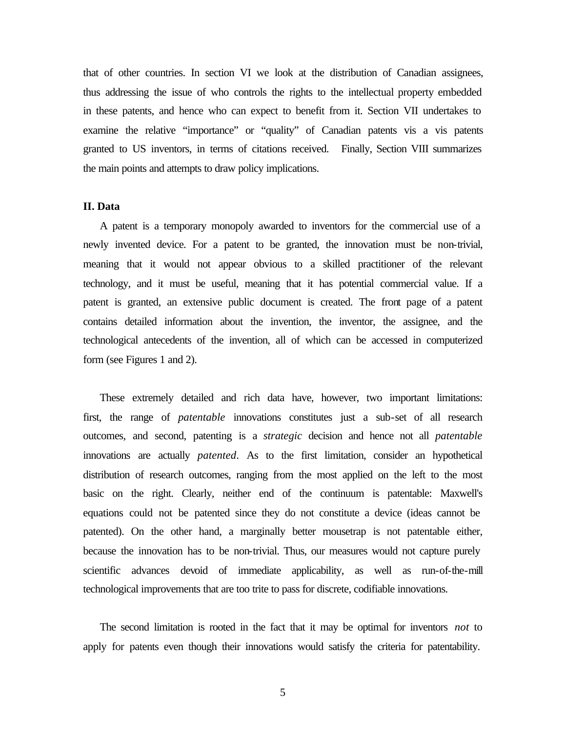that of other countries. In section VI we look at the distribution of Canadian assignees, thus addressing the issue of who controls the rights to the intellectual property embedded in these patents, and hence who can expect to benefit from it. Section VII undertakes to examine the relative "importance" or "quality" of Canadian patents vis a vis patents granted to US inventors, in terms of citations received. Finally, Section VIII summarizes the main points and attempts to draw policy implications.

### **II. Data**

A patent is a temporary monopoly awarded to inventors for the commercial use of a newly invented device. For a patent to be granted, the innovation must be non-trivial, meaning that it would not appear obvious to a skilled practitioner of the relevant technology, and it must be useful, meaning that it has potential commercial value. If a patent is granted, an extensive public document is created. The front page of a patent contains detailed information about the invention, the inventor, the assignee, and the technological antecedents of the invention, all of which can be accessed in computerized form (see Figures 1 and 2).

These extremely detailed and rich data have, however, two important limitations: first, the range of *patentable* innovations constitutes just a sub-set of all research outcomes, and second, patenting is a *strategic* decision and hence not all *patentable*  innovations are actually *patented*. As to the first limitation, consider an hypothetical distribution of research outcomes, ranging from the most applied on the left to the most basic on the right. Clearly, neither end of the continuum is patentable: Maxwell's equations could not be patented since they do not constitute a device (ideas cannot be patented). On the other hand, a marginally better mousetrap is not patentable either, because the innovation has to be non-trivial. Thus, our measures would not capture purely scientific advances devoid of immediate applicability, as well as run-of-the-mill technological improvements that are too trite to pass for discrete, codifiable innovations.

The second limitation is rooted in the fact that it may be optimal for inventors *not* to apply for patents even though their innovations would satisfy the criteria for patentability.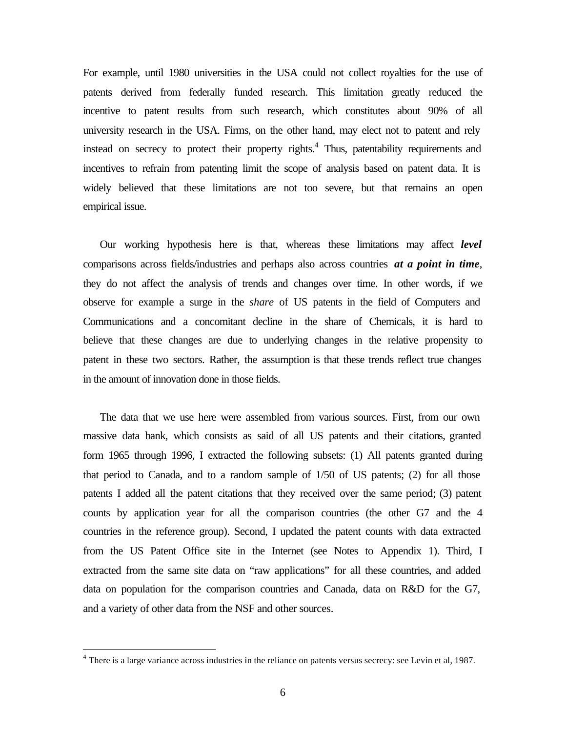For example, until 1980 universities in the USA could not collect royalties for the use of patents derived from federally funded research. This limitation greatly reduced the incentive to patent results from such research, which constitutes about 90% of all university research in the USA. Firms, on the other hand, may elect not to patent and rely instead on secrecy to protect their property rights.<sup>4</sup> Thus, patentability requirements and incentives to refrain from patenting limit the scope of analysis based on patent data. It is widely believed that these limitations are not too severe, but that remains an open empirical issue.

Our working hypothesis here is that, whereas these limitations may affect *level* comparisons across fields/industries and perhaps also across countries *at a point in time*, they do not affect the analysis of trends and changes over time. In other words, if we observe for example a surge in the *share* of US patents in the field of Computers and Communications and a concomitant decline in the share of Chemicals, it is hard to believe that these changes are due to underlying changes in the relative propensity to patent in these two sectors. Rather, the assumption is that these trends reflect true changes in the amount of innovation done in those fields.

The data that we use here were assembled from various sources. First, from our own massive data bank, which consists as said of all US patents and their citations, granted form 1965 through 1996, I extracted the following subsets: (1) All patents granted during that period to Canada, and to a random sample of 1/50 of US patents; (2) for all those patents I added all the patent citations that they received over the same period; (3) patent counts by application year for all the comparison countries (the other G7 and the 4 countries in the reference group). Second, I updated the patent counts with data extracted from the US Patent Office site in the Internet (see Notes to Appendix 1). Third, I extracted from the same site data on "raw applications" for all these countries, and added data on population for the comparison countries and Canada, data on R&D for the G7, and a variety of other data from the NSF and other sources.

 $4$  There is a large variance across industries in the reliance on patents versus secrecy: see Levin et al, 1987.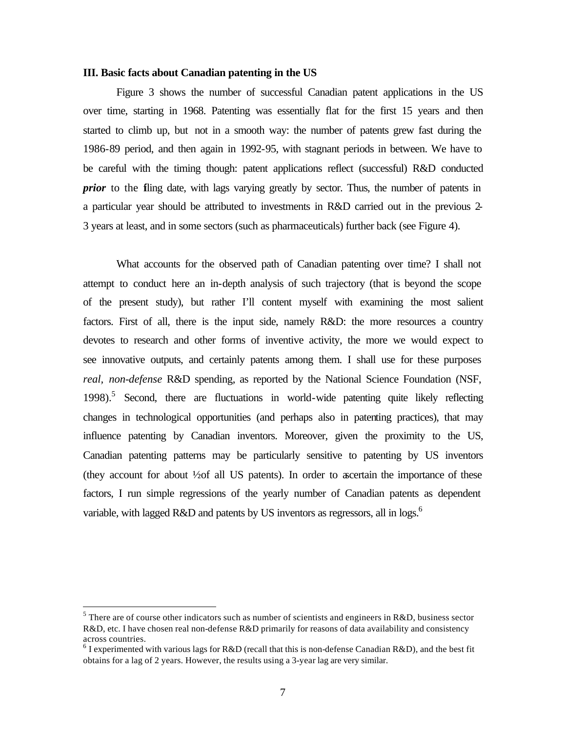#### **III. Basic facts about Canadian patenting in the US**

Figure 3 shows the number of successful Canadian patent applications in the US over time, starting in 1968. Patenting was essentially flat for the first 15 years and then started to climb up, but not in a smooth way: the number of patents grew fast during the 1986-89 period, and then again in 1992-95, with stagnant periods in between. We have to be careful with the timing though: patent applications reflect (successful) R&D conducted *prior* to the fling date, with lags varying greatly by sector. Thus, the number of patents in a particular year should be attributed to investments in R&D carried out in the previous 2- 3 years at least, and in some sectors (such as pharmaceuticals) further back (see Figure 4).

What accounts for the observed path of Canadian patenting over time? I shall not attempt to conduct here an in-depth analysis of such trajectory (that is beyond the scope of the present study), but rather I'll content myself with examining the most salient factors. First of all, there is the input side, namely R&D: the more resources a country devotes to research and other forms of inventive activity, the more we would expect to see innovative outputs, and certainly patents among them. I shall use for these purposes *real, non-defense* R&D spending, as reported by the National Science Foundation (NSF, 1998).<sup>5</sup> Second, there are fluctuations in world-wide patenting quite likely reflecting changes in technological opportunities (and perhaps also in patenting practices), that may influence patenting by Canadian inventors. Moreover, given the proximity to the US, Canadian patenting patterns may be particularly sensitive to patenting by US inventors (they account for about  $\frac{1}{2}$  of all US patents). In order to ascertain the importance of these factors, I run simple regressions of the yearly number of Canadian patents as dependent variable, with lagged R&D and patents by US inventors as regressors, all in logs.<sup>6</sup>

<sup>&</sup>lt;sup>5</sup> There are of course other indicators such as number of scientists and engineers in R&D, business sector R&D, etc. I have chosen real non-defense R&D primarily for reasons of data availability and consistency across countries.

<sup>&</sup>lt;sup>6</sup> I experimented with various lags for R&D (recall that this is non-defense Canadian R&D), and the best fit obtains for a lag of 2 years. However, the results using a 3-year lag are very similar.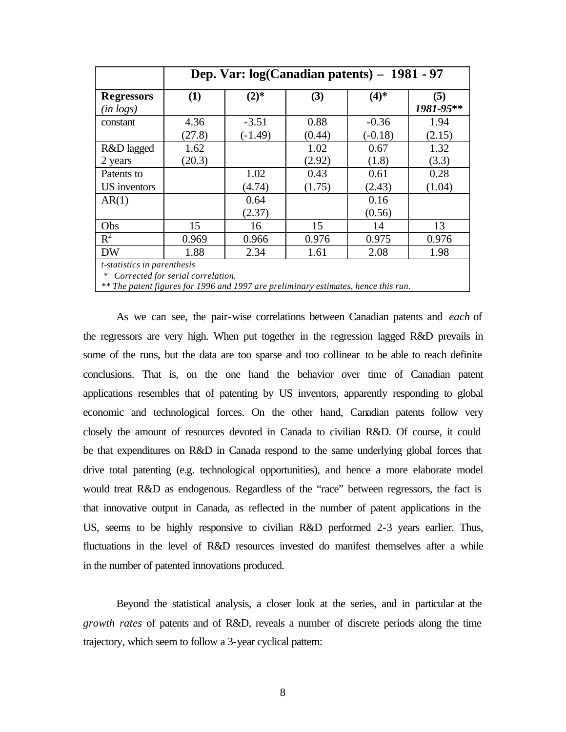|                                     | Dep. Var: $log(Canadian\ patterns) - 1981 - 97$                          |           |        |           |                  |  |  |  |  |
|-------------------------------------|--------------------------------------------------------------------------|-----------|--------|-----------|------------------|--|--|--|--|
| <b>Regressors</b><br>$(in \, logs)$ | (1)                                                                      | $(2)$ *   | (3)    | $(4)$ *   | (5)<br>1981-95** |  |  |  |  |
| constant                            | 4.36                                                                     | $-3.51$   | 0.88   | $-0.36$   | 1.94             |  |  |  |  |
|                                     | (27.8)                                                                   | $(-1.49)$ | (0.44) | $(-0.18)$ | (2.15)           |  |  |  |  |
| R&D lagged                          | 1.62                                                                     |           | 1.02   | 0.67      | 1.32             |  |  |  |  |
| 2 years                             | (20.3)                                                                   |           | (2.92) | (1.8)     | (3.3)            |  |  |  |  |
| Patents to                          |                                                                          | 1.02      | 0.43   | 0.61      | 0.28             |  |  |  |  |
| US inventors                        |                                                                          | (4.74)    | (1.75) | (2.43)    | (1.04)           |  |  |  |  |
| AR(1)                               |                                                                          | 0.64      |        | 0.16      |                  |  |  |  |  |
|                                     |                                                                          | (2.37)    |        | (0.56)    |                  |  |  |  |  |
| Obs                                 | 15                                                                       | 16        | 15     | 14        | 13               |  |  |  |  |
| $R^2$                               | 0.969                                                                    | 0.966     | 0.976  | 0.975     | 0.976            |  |  |  |  |
| <b>DW</b>                           | 1.88                                                                     | 2.34      | 1.61   | 2.08      | 1.98             |  |  |  |  |
|                                     | <i>t</i> -statistics in parenthesis<br>Corrected for serial correlation. |           |        |           |                  |  |  |  |  |

*\*\* The patent figures for 1996 and 1997 are preliminary estimates, hence this run.*

As we can see, the pair-wise correlations between Canadian patents and *each* of the regressors are very high. When put together in the regression lagged R&D prevails in some of the runs, but the data are too sparse and too collinear to be able to reach definite conclusions. That is, on the one hand the behavior over time of Canadian patent applications resembles that of patenting by US inventors, apparently responding to global economic and technological forces. On the other hand, Canadian patents follow very closely the amount of resources devoted in Canada to civilian R&D. Of course, it could be that expenditures on R&D in Canada respond to the same underlying global forces that drive total patenting (e.g. technological opportunities), and hence a more elaborate model would treat R&D as endogenous. Regardless of the "race" between regressors, the fact is that innovative output in Canada, as reflected in the number of patent applications in the US, seems to be highly responsive to civilian R&D performed 2-3 years earlier. Thus, fluctuations in the level of R&D resources invested do manifest themselves after a while in the number of patented innovations produced.

Beyond the statistical analysis, a closer look at the series, and in particular at the *growth rates* of patents and of R&D, reveals a number of discrete periods along the time trajectory, which seem to follow a 3-year cyclical pattern: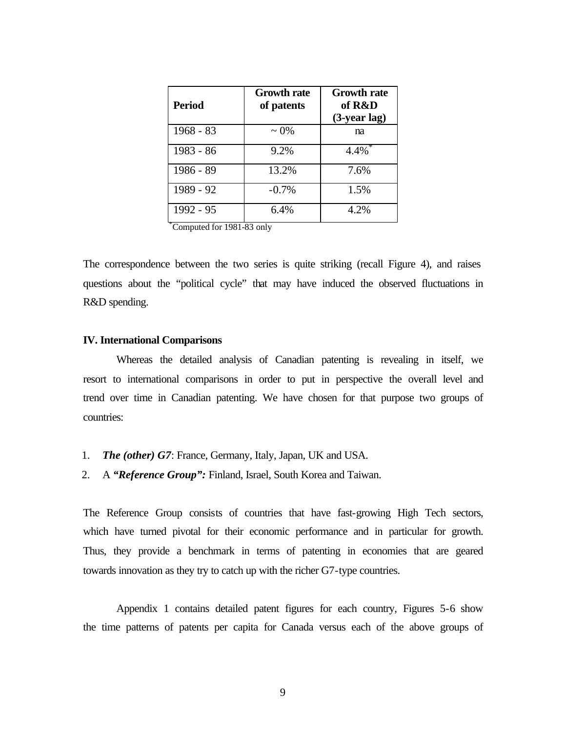| Period      | <b>Growth rate</b><br>of patents | <b>Growth rate</b><br>of R&D<br>$(3$ -year lag) |
|-------------|----------------------------------|-------------------------------------------------|
| $1968 - 83$ | $\sim 0\%$                       | na                                              |
| 1983 - 86   | 9.2%                             | 4.4%                                            |
| 1986 - 89   | 13.2%                            | 7.6%                                            |
| 1989 - 92   | $-0.7%$                          | 1.5%                                            |
| 1992 - 95   | 6.4%                             | 4.2%                                            |

\*Computed for 1981-83 only

The correspondence between the two series is quite striking (recall Figure 4), and raises questions about the "political cycle" that may have induced the observed fluctuations in R&D spending.

### **IV. International Comparisons**

Whereas the detailed analysis of Canadian patenting is revealing in itself, we resort to international comparisons in order to put in perspective the overall level and trend over time in Canadian patenting. We have chosen for that purpose two groups of countries:

- 1. *The (other) G7*: France, Germany, Italy, Japan, UK and USA.
- 2. A *"Reference Group":* Finland, Israel, South Korea and Taiwan.

The Reference Group consists of countries that have fast-growing High Tech sectors, which have turned pivotal for their economic performance and in particular for growth. Thus, they provide a benchmark in terms of patenting in economies that are geared towards innovation as they try to catch up with the richer G7-type countries.

Appendix 1 contains detailed patent figures for each country, Figures 5-6 show the time patterns of patents per capita for Canada versus each of the above groups of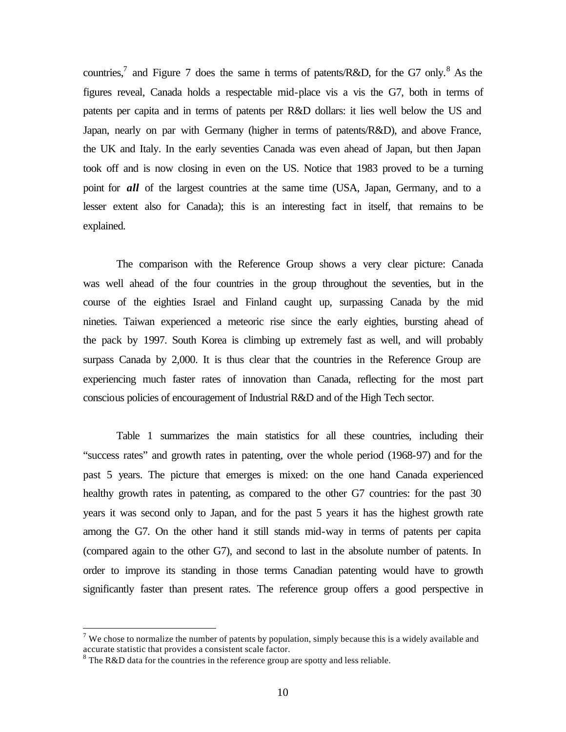countries,<sup>7</sup> and Figure 7 does the same in terms of patents/R&D, for the G7 only.<sup>8</sup> As the figures reveal, Canada holds a respectable mid-place vis a vis the G7, both in terms of patents per capita and in terms of patents per R&D dollars: it lies well below the US and Japan, nearly on par with Germany (higher in terms of patents/R&D), and above France, the UK and Italy. In the early seventies Canada was even ahead of Japan, but then Japan took off and is now closing in even on the US. Notice that 1983 proved to be a turning point for *all* of the largest countries at the same time (USA, Japan, Germany, and to a lesser extent also for Canada); this is an interesting fact in itself, that remains to be explained.

The comparison with the Reference Group shows a very clear picture: Canada was well ahead of the four countries in the group throughout the seventies, but in the course of the eighties Israel and Finland caught up, surpassing Canada by the mid nineties. Taiwan experienced a meteoric rise since the early eighties, bursting ahead of the pack by 1997. South Korea is climbing up extremely fast as well, and will probably surpass Canada by 2,000. It is thus clear that the countries in the Reference Group are experiencing much faster rates of innovation than Canada, reflecting for the most part conscious policies of encouragement of Industrial R&D and of the High Tech sector.

Table 1 summarizes the main statistics for all these countries, including their "success rates" and growth rates in patenting, over the whole period (1968-97) and for the past 5 years. The picture that emerges is mixed: on the one hand Canada experienced healthy growth rates in patenting, as compared to the other G7 countries: for the past 30 years it was second only to Japan, and for the past 5 years it has the highest growth rate among the G7. On the other hand it still stands mid-way in terms of patents per capita (compared again to the other G7), and second to last in the absolute number of patents. In order to improve its standing in those terms Canadian patenting would have to growth significantly faster than present rates. The reference group offers a good perspective in

<sup>&</sup>lt;sup>7</sup> We chose to normalize the number of patents by population, simply because this is a widely available and accurate statistic that provides a consistent scale factor.

 $8$  The R&D data for the countries in the reference group are spotty and less reliable.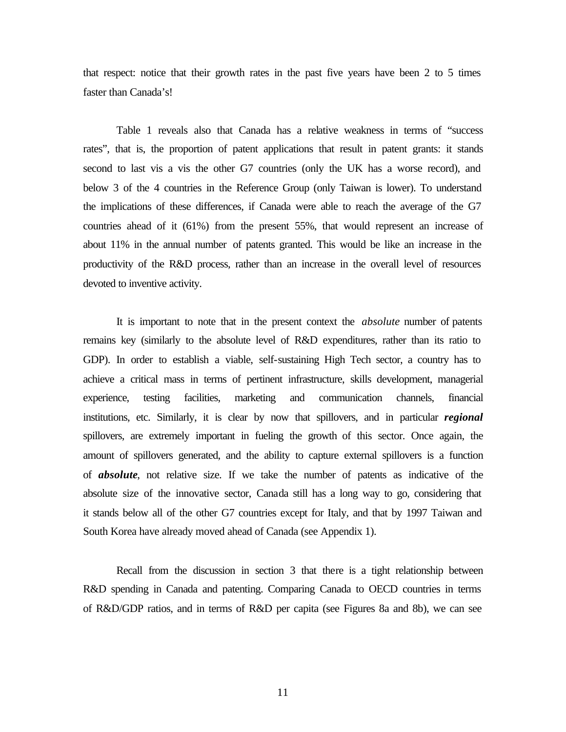that respect: notice that their growth rates in the past five years have been 2 to 5 times faster than Canada's!

Table 1 reveals also that Canada has a relative weakness in terms of "success rates", that is, the proportion of patent applications that result in patent grants: it stands second to last vis a vis the other G7 countries (only the UK has a worse record), and below 3 of the 4 countries in the Reference Group (only Taiwan is lower). To understand the implications of these differences, if Canada were able to reach the average of the G7 countries ahead of it (61%) from the present 55%, that would represent an increase of about 11% in the annual number of patents granted. This would be like an increase in the productivity of the R&D process, rather than an increase in the overall level of resources devoted to inventive activity.

It is important to note that in the present context the *absolute* number of patents remains key (similarly to the absolute level of R&D expenditures, rather than its ratio to GDP). In order to establish a viable, self-sustaining High Tech sector, a country has to achieve a critical mass in terms of pertinent infrastructure, skills development, managerial experience, testing facilities, marketing and communication channels, financial institutions, etc. Similarly, it is clear by now that spillovers, and in particular *regional*  spillovers, are extremely important in fueling the growth of this sector. Once again, the amount of spillovers generated, and the ability to capture external spillovers is a function of *absolute*, not relative size. If we take the number of patents as indicative of the absolute size of the innovative sector, Canada still has a long way to go, considering that it stands below all of the other G7 countries except for Italy, and that by 1997 Taiwan and South Korea have already moved ahead of Canada (see Appendix 1).

Recall from the discussion in section 3 that there is a tight relationship between R&D spending in Canada and patenting. Comparing Canada to OECD countries in terms of R&D/GDP ratios, and in terms of R&D per capita (see Figures 8a and 8b), we can see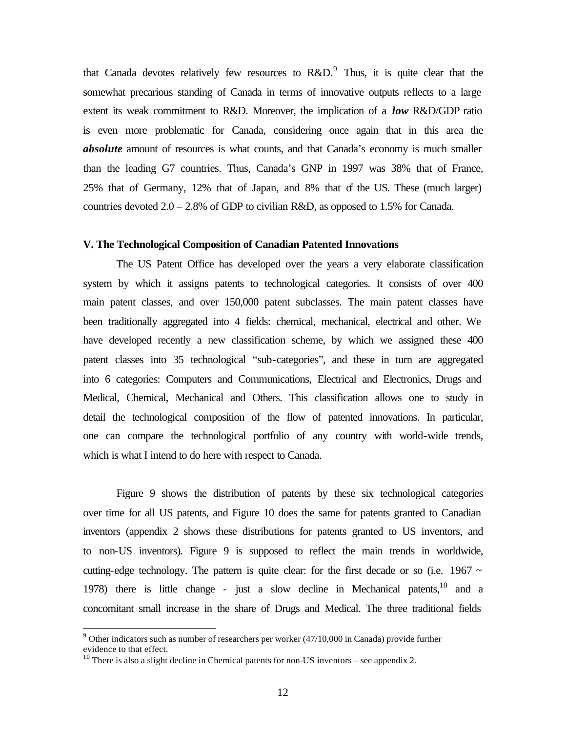that Canada devotes relatively few resources to  $R&D$ . Thus, it is quite clear that the somewhat precarious standing of Canada in terms of innovative outputs reflects to a large extent its weak commitment to R&D. Moreover, the implication of a *low* R&D/GDP ratio is even more problematic for Canada, considering once again that in this area the *absolute* amount of resources is what counts, and that Canada's economy is much smaller than the leading G7 countries. Thus, Canada's GNP in 1997 was 38% that of France, 25% that of Germany, 12% that of Japan, and 8% that of the US. These (much larger) countries devoted 2.0 – 2.8% of GDP to civilian R&D, as opposed to 1.5% for Canada.

#### **V. The Technological Composition of Canadian Patented Innovations**

The US Patent Office has developed over the years a very elaborate classification system by which it assigns patents to technological categories. It consists of over 400 main patent classes, and over 150,000 patent subclasses. The main patent classes have been traditionally aggregated into 4 fields: chemical, mechanical, electrical and other. We have developed recently a new classification scheme, by which we assigned these 400 patent classes into 35 technological "sub-categories", and these in turn are aggregated into 6 categories: Computers and Communications, Electrical and Electronics, Drugs and Medical, Chemical, Mechanical and Others. This classification allows one to study in detail the technological composition of the flow of patented innovations. In particular, one can compare the technological portfolio of any country with world-wide trends, which is what I intend to do here with respect to Canada.

Figure 9 shows the distribution of patents by these six technological categories over time for all US patents, and Figure 10 does the same for patents granted to Canadian inventors (appendix 2 shows these distributions for patents granted to US inventors, and to non-US inventors). Figure 9 is supposed to reflect the main trends in worldwide, cutting-edge technology. The pattern is quite clear: for the first decade or so (i.e. 1967  $\sim$ 1978) there is little change - just a slow decline in Mechanical patents,  $10$  and a concomitant small increase in the share of Drugs and Medical. The three traditional fields

 $9$  Other indicators such as number of researchers per worker  $(47/10,000$  in Canada) provide further evidence to that effect.

 $10$  There is also a slight decline in Chemical patents for non-US inventors – see appendix 2.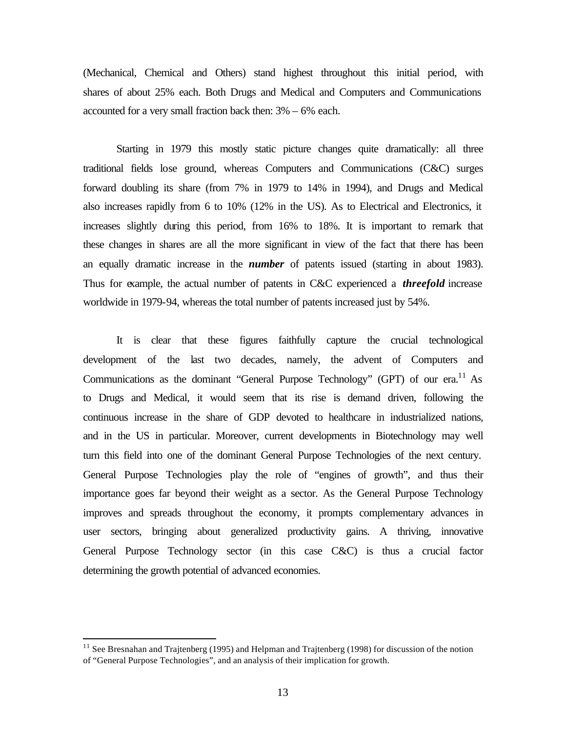(Mechanical, Chemical and Others) stand highest throughout this initial period, with shares of about 25% each. Both Drugs and Medical and Computers and Communications accounted for a very small fraction back then: 3% – 6% each.

Starting in 1979 this mostly static picture changes quite dramatically: all three traditional fields lose ground, whereas Computers and Communications (C&C) surges forward doubling its share (from 7% in 1979 to 14% in 1994), and Drugs and Medical also increases rapidly from 6 to 10% (12% in the US). As to Electrical and Electronics, it increases slightly during this period, from 16% to 18%. It is important to remark that these changes in shares are all the more significant in view of the fact that there has been an equally dramatic increase in the *number* of patents issued (starting in about 1983). Thus for example, the actual number of patents in C&C experienced a *threefold* increase worldwide in 1979-94, whereas the total number of patents increased just by 54%.

It is clear that these figures faithfully capture the crucial technological development of the last two decades, namely, the advent of Computers and Communications as the dominant "General Purpose Technology" (GPT) of our era.<sup>11</sup> As to Drugs and Medical, it would seem that its rise is demand driven, following the continuous increase in the share of GDP devoted to healthcare in industrialized nations, and in the US in particular. Moreover, current developments in Biotechnology may well turn this field into one of the dominant General Purpose Technologies of the next century. General Purpose Technologies play the role of "engines of growth", and thus their importance goes far beyond their weight as a sector. As the General Purpose Technology improves and spreads throughout the economy, it prompts complementary advances in user sectors, bringing about generalized productivity gains. A thriving, innovative General Purpose Technology sector (in this case C&C) is thus a crucial factor determining the growth potential of advanced economies.

 $11$  See Bresnahan and Trajtenberg (1995) and Helpman and Trajtenberg (1998) for discussion of the notion of "General Purpose Technologies", and an analysis of their implication for growth.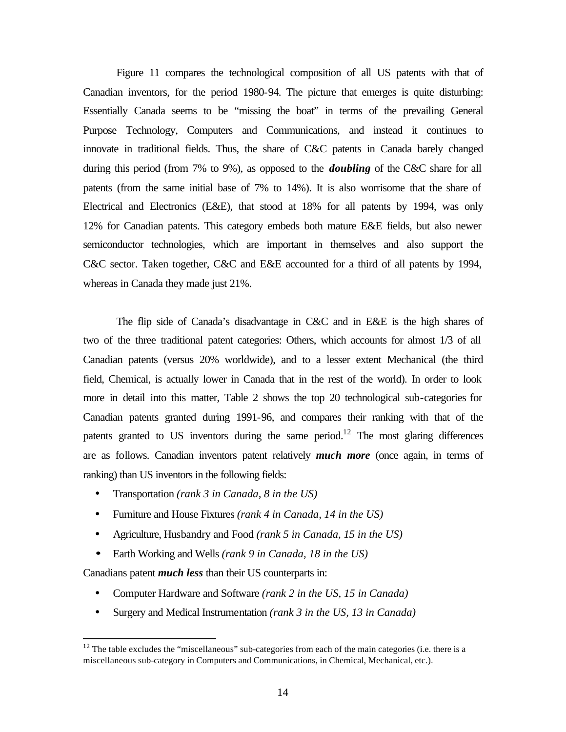Figure 11 compares the technological composition of all US patents with that of Canadian inventors, for the period 1980-94. The picture that emerges is quite disturbing: Essentially Canada seems to be "missing the boat" in terms of the prevailing General Purpose Technology, Computers and Communications, and instead it continues to innovate in traditional fields. Thus, the share of C&C patents in Canada barely changed during this period (from 7% to 9%), as opposed to the *doubling* of the C&C share for all patents (from the same initial base of 7% to 14%). It is also worrisome that the share of Electrical and Electronics (E&E), that stood at 18% for all patents by 1994, was only 12% for Canadian patents. This category embeds both mature E&E fields, but also newer semiconductor technologies, which are important in themselves and also support the C&C sector. Taken together, C&C and E&E accounted for a third of all patents by 1994, whereas in Canada they made just 21%.

The flip side of Canada's disadvantage in C&C and in E&E is the high shares of two of the three traditional patent categories: Others, which accounts for almost 1/3 of all Canadian patents (versus 20% worldwide), and to a lesser extent Mechanical (the third field, Chemical, is actually lower in Canada that in the rest of the world). In order to look more in detail into this matter, Table 2 shows the top 20 technological sub-categories for Canadian patents granted during 1991-96, and compares their ranking with that of the patents granted to US inventors during the same period.<sup>12</sup> The most glaring differences are as follows. Canadian inventors patent relatively *much more* (once again, in terms of ranking) than US inventors in the following fields:

- Transportation *(rank 3 in Canada, 8 in the US)*
- Furniture and House Fixtures *(rank 4 in Canada, 14 in the US)*
- Agriculture, Husbandry and Food *(rank 5 in Canada, 15 in the US)*
- *·* Earth Working and Wells *(rank 9 in Canada, 18 in the US)*

Canadians patent *much less* than their US counterparts in:

- Computer Hardware and Software *(rank 2 in the US, 15 in Canada)*
- Surgery and Medical Instrumentation *(rank 3 in the US, 13 in Canada)*

 $12$  The table excludes the "miscellaneous" sub-categories from each of the main categories (i.e. there is a miscellaneous sub-category in Computers and Communications, in Chemical, Mechanical, etc.).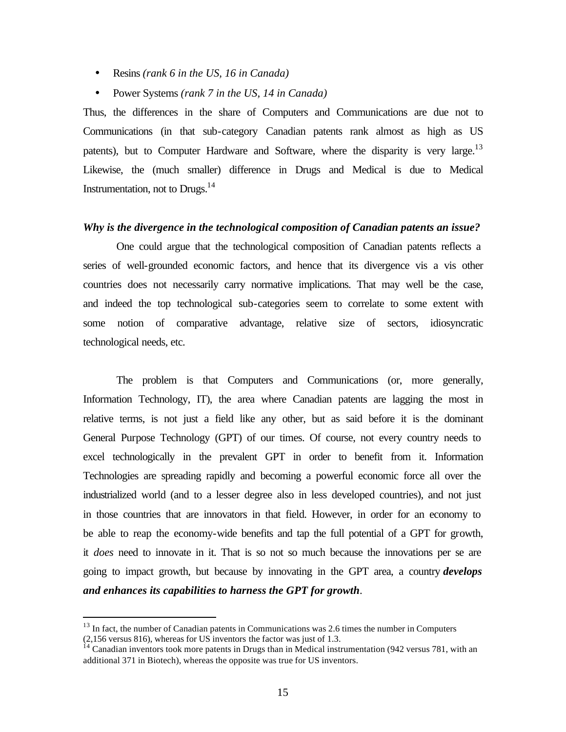- Resins *(rank 6 in the US, 16 in Canada)*
- Power Systems *(rank 7 in the US, 14 in Canada)*

Thus, the differences in the share of Computers and Communications are due not to Communications (in that sub-category Canadian patents rank almost as high as US patents), but to Computer Hardware and Software, where the disparity is very large.<sup>13</sup> Likewise, the (much smaller) difference in Drugs and Medical is due to Medical Instrumentation, not to Drugs. $^{14}$ 

#### *Why is the divergence in the technological composition of Canadian patents an issue?*

One could argue that the technological composition of Canadian patents reflects a series of well-grounded economic factors, and hence that its divergence vis a vis other countries does not necessarily carry normative implications. That may well be the case, and indeed the top technological sub-categories seem to correlate to some extent with some notion of comparative advantage, relative size of sectors, idiosyncratic technological needs, etc.

The problem is that Computers and Communications (or, more generally, Information Technology, IT), the area where Canadian patents are lagging the most in relative terms, is not just a field like any other, but as said before it is the dominant General Purpose Technology (GPT) of our times. Of course, not every country needs to excel technologically in the prevalent GPT in order to benefit from it. Information Technologies are spreading rapidly and becoming a powerful economic force all over the industrialized world (and to a lesser degree also in less developed countries), and not just in those countries that are innovators in that field. However, in order for an economy to be able to reap the economy-wide benefits and tap the full potential of a GPT for growth, it *does* need to innovate in it. That is so not so much because the innovations per se are going to impact growth, but because by innovating in the GPT area, a country *develops and enhances its capabilities to harness the GPT for growth*.

 $13$  In fact, the number of Canadian patents in Communications was 2.6 times the number in Computers (2,156 versus 816), whereas for US inventors the factor was just of 1.3.

 $14$  Canadian inventors took more patents in Drugs than in Medical instrumentation (942 versus 781, with an additional 371 in Biotech), whereas the opposite was true for US inventors.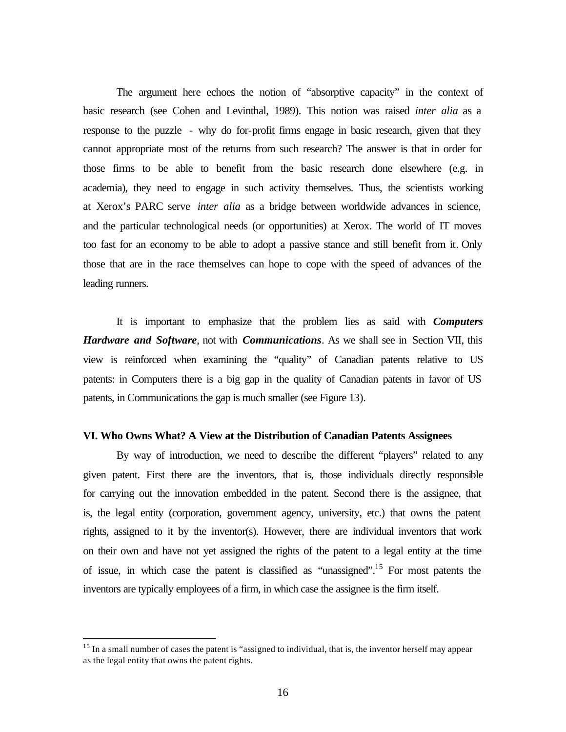The argument here echoes the notion of "absorptive capacity" in the context of basic research (see Cohen and Levinthal, 1989). This notion was raised *inter alia* as a response to the puzzle - why do for-profit firms engage in basic research, given that they cannot appropriate most of the returns from such research? The answer is that in order for those firms to be able to benefit from the basic research done elsewhere (e.g. in academia), they need to engage in such activity themselves. Thus, the scientists working at Xerox's PARC serve *inter alia* as a bridge between worldwide advances in science, and the particular technological needs (or opportunities) at Xerox. The world of IT moves too fast for an economy to be able to adopt a passive stance and still benefit from it. Only those that are in the race themselves can hope to cope with the speed of advances of the leading runners.

It is important to emphasize that the problem lies as said with *Computers Hardware and Software*, not with *Communications*. As we shall see in Section VII, this view is reinforced when examining the "quality" of Canadian patents relative to US patents: in Computers there is a big gap in the quality of Canadian patents in favor of US patents, in Communications the gap is much smaller (see Figure 13).

#### **VI. Who Owns What? A View at the Distribution of Canadian Patents Assignees**

By way of introduction, we need to describe the different "players" related to any given patent. First there are the inventors, that is, those individuals directly responsible for carrying out the innovation embedded in the patent. Second there is the assignee, that is, the legal entity (corporation, government agency, university, etc.) that owns the patent rights, assigned to it by the inventor(s). However, there are individual inventors that work on their own and have not yet assigned the rights of the patent to a legal entity at the time of issue, in which case the patent is classified as "unassigned".<sup>15</sup> For most patents the inventors are typically employees of a firm, in which case the assignee is the firm itself.

<sup>&</sup>lt;sup>15</sup> In a small number of cases the patent is "assigned to individual, that is, the inventor herself may appear as the legal entity that owns the patent rights.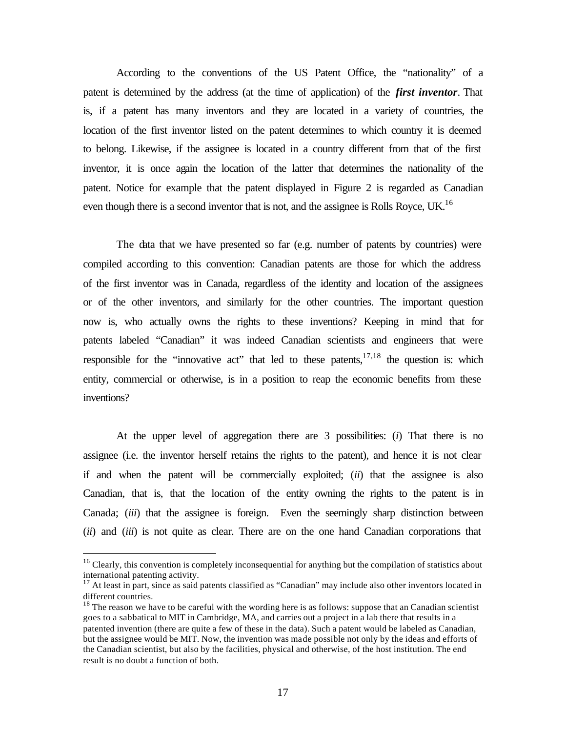According to the conventions of the US Patent Office, the "nationality" of a patent is determined by the address (at the time of application) of the *first inventor*. That is, if a patent has many inventors and they are located in a variety of countries, the location of the first inventor listed on the patent determines to which country it is deemed to belong. Likewise, if the assignee is located in a country different from that of the first inventor, it is once again the location of the latter that determines the nationality of the patent. Notice for example that the patent displayed in Figure 2 is regarded as Canadian even though there is a second inventor that is not, and the assignee is Rolls Royce, UK.<sup>16</sup>

The data that we have presented so far (e.g. number of patents by countries) were compiled according to this convention: Canadian patents are those for which the address of the first inventor was in Canada, regardless of the identity and location of the assignees or of the other inventors, and similarly for the other countries. The important question now is, who actually owns the rights to these inventions? Keeping in mind that for patents labeled "Canadian" it was indeed Canadian scientists and engineers that were responsible for the "innovative act" that led to these patents, $17,18$  the question is: which entity, commercial or otherwise, is in a position to reap the economic benefits from these inventions?

At the upper level of aggregation there are 3 possibilities: (*i*) That there is no assignee (i.e. the inventor herself retains the rights to the patent), and hence it is not clear if and when the patent will be commercially exploited; (*ii*) that the assignee is also Canadian, that is, that the location of the entity owning the rights to the patent is in Canada; (*iii*) that the assignee is foreign. Even the seemingly sharp distinction between (*ii*) and (*iii*) is not quite as clear. There are on the one hand Canadian corporations that

<sup>&</sup>lt;sup>16</sup> Clearly, this convention is completely inconsequential for anything but the compilation of statistics about international patenting activity.

<sup>&</sup>lt;sup>17</sup> At least in part, since as said patents classified as "Canadian" may include also other inventors located in different countries.

 $18$  The reason we have to be careful with the wording here is as follows: suppose that an Canadian scientist goes to a sabbatical to MIT in Cambridge, MA, and carries out a project in a lab there that results in a patented invention (there are quite a few of these in the data). Such a patent would be labeled as Canadian, but the assignee would be MIT. Now, the invention was made possible not only by the ideas and efforts of the Canadian scientist, but also by the facilities, physical and otherwise, of the host institution. The end result is no doubt a function of both.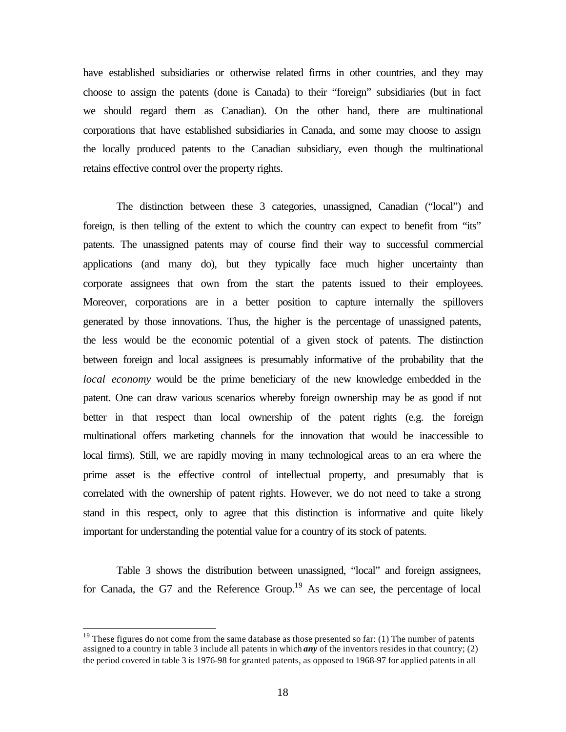have established subsidiaries or otherwise related firms in other countries, and they may choose to assign the patents (done is Canada) to their "foreign" subsidiaries (but in fact we should regard them as Canadian). On the other hand, there are multinational corporations that have established subsidiaries in Canada, and some may choose to assign the locally produced patents to the Canadian subsidiary, even though the multinational retains effective control over the property rights.

The distinction between these 3 categories, unassigned, Canadian ("local") and foreign, is then telling of the extent to which the country can expect to benefit from "its" patents. The unassigned patents may of course find their way to successful commercial applications (and many do), but they typically face much higher uncertainty than corporate assignees that own from the start the patents issued to their employees. Moreover, corporations are in a better position to capture internally the spillovers generated by those innovations. Thus, the higher is the percentage of unassigned patents, the less would be the economic potential of a given stock of patents. The distinction between foreign and local assignees is presumably informative of the probability that the *local economy* would be the prime beneficiary of the new knowledge embedded in the patent. One can draw various scenarios whereby foreign ownership may be as good if not better in that respect than local ownership of the patent rights (e.g. the foreign multinational offers marketing channels for the innovation that would be inaccessible to local firms). Still, we are rapidly moving in many technological areas to an era where the prime asset is the effective control of intellectual property, and presumably that is correlated with the ownership of patent rights. However, we do not need to take a strong stand in this respect, only to agree that this distinction is informative and quite likely important for understanding the potential value for a country of its stock of patents.

Table 3 shows the distribution between unassigned, "local" and foreign assignees, for Canada, the G7 and the Reference Group.<sup>19</sup> As we can see, the percentage of local

 $19$  These figures do not come from the same database as those presented so far: (1) The number of patents assigned to a country in table 3 include all patents in which *any* of the inventors resides in that country; (2) the period covered in table 3 is 1976-98 for granted patents, as opposed to 1968-97 for applied patents in all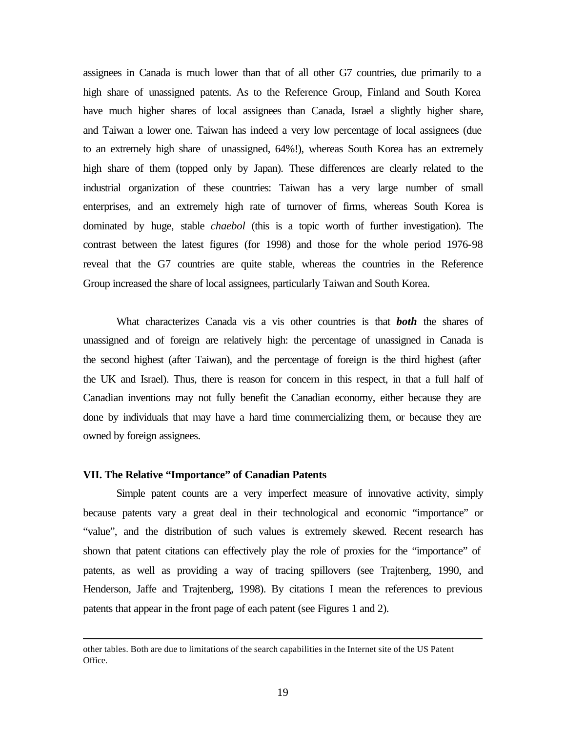assignees in Canada is much lower than that of all other G7 countries, due primarily to a high share of unassigned patents. As to the Reference Group, Finland and South Korea have much higher shares of local assignees than Canada, Israel a slightly higher share, and Taiwan a lower one. Taiwan has indeed a very low percentage of local assignees (due to an extremely high share of unassigned, 64%!), whereas South Korea has an extremely high share of them (topped only by Japan). These differences are clearly related to the industrial organization of these countries: Taiwan has a very large number of small enterprises, and an extremely high rate of turnover of firms, whereas South Korea is dominated by huge, stable *chaebol* (this is a topic worth of further investigation). The contrast between the latest figures (for 1998) and those for the whole period 1976-98 reveal that the G7 countries are quite stable, whereas the countries in the Reference Group increased the share of local assignees, particularly Taiwan and South Korea.

What characterizes Canada vis a vis other countries is that *both* the shares of unassigned and of foreign are relatively high: the percentage of unassigned in Canada is the second highest (after Taiwan), and the percentage of foreign is the third highest (after the UK and Israel). Thus, there is reason for concern in this respect, in that a full half of Canadian inventions may not fully benefit the Canadian economy, either because they are done by individuals that may have a hard time commercializing them, or because they are owned by foreign assignees.

### **VII. The Relative "Importance" of Canadian Patents**

 $\overline{a}$ 

Simple patent counts are a very imperfect measure of innovative activity, simply because patents vary a great deal in their technological and economic "importance" or "value", and the distribution of such values is extremely skewed. Recent research has shown that patent citations can effectively play the role of proxies for the "importance" of patents, as well as providing a way of tracing spillovers (see Trajtenberg, 1990, and Henderson, Jaffe and Trajtenberg, 1998). By citations I mean the references to previous patents that appear in the front page of each patent (see Figures 1 and 2).

other tables. Both are due to limitations of the search capabilities in the Internet site of the US Patent Office.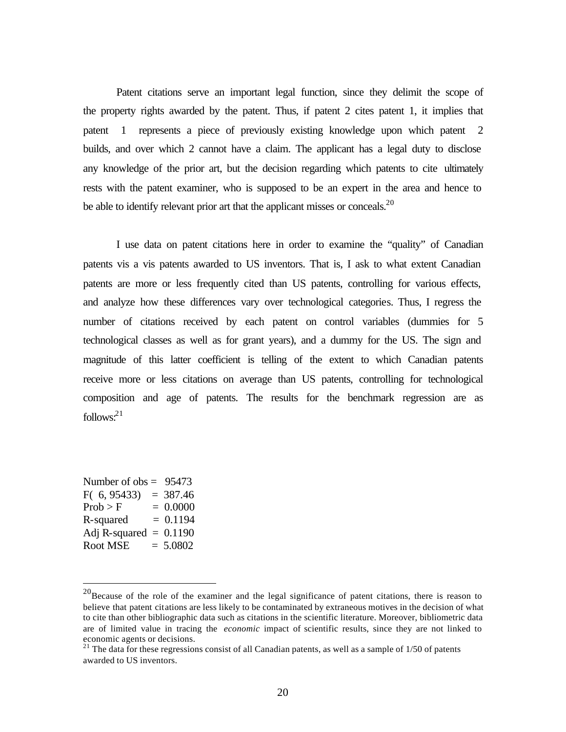Patent citations serve an important legal function, since they delimit the scope of the property rights awarded by the patent. Thus, if patent 2 cites patent 1, it implies that patent 1 represents a piece of previously existing knowledge upon which patent 2 builds, and over which 2 cannot have a claim. The applicant has a legal duty to disclose any knowledge of the prior art, but the decision regarding which patents to cite ultimately rests with the patent examiner, who is supposed to be an expert in the area and hence to be able to identify relevant prior art that the applicant misses or conceals.  $2^{20}$ 

I use data on patent citations here in order to examine the "quality" of Canadian patents vis a vis patents awarded to US inventors. That is, I ask to what extent Canadian patents are more or less frequently cited than US patents, controlling for various effects, and analyze how these differences vary over technological categories. Thus, I regress the number of citations received by each patent on control variables (dummies for 5 technological classes as well as for grant years), and a dummy for the US. The sign and magnitude of this latter coefficient is telling of the extent to which Canadian patents receive more or less citations on average than US patents, controlling for technological composition and age of patents. The results for the benchmark regression are as follows: $^{21}$ 

| Number of $obs = 95473$  |            |
|--------------------------|------------|
| F(6, 95433)              | $= 387.46$ |
| Prob > F                 | $= 0.0000$ |
| R-squared                | $= 0.1194$ |
| Adj R-squared $= 0.1190$ |            |
| Root MSE                 | $= 5.0802$ |

 $20$ Because of the role of the examiner and the legal significance of patent citations, there is reason to believe that patent citations are less likely to be contaminated by extraneous motives in the decision of what to cite than other bibliographic data such as citations in the scientific literature. Moreover, bibliometric data are of limited value in tracing the *economic* impact of scientific results, since they are not linked to economic agents or decisions.

 $21$  The data for these regressions consist of all Canadian patents, as well as a sample of  $1/50$  of patents awarded to US inventors.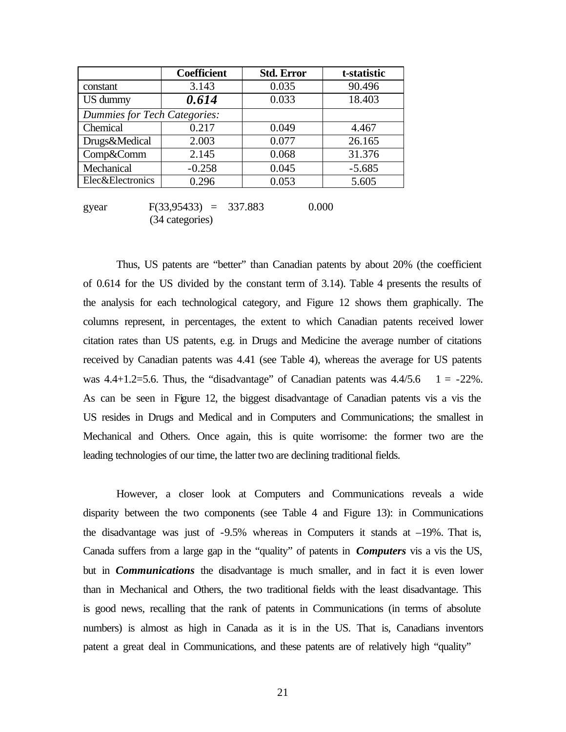|                                     | <b>Coefficient</b> | <b>Std. Error</b> | t-statistic |  |  |  |
|-------------------------------------|--------------------|-------------------|-------------|--|--|--|
| constant                            | 3.143              | 0.035             | 90.496      |  |  |  |
| US dummy                            | 0.614              | 0.033             | 18.403      |  |  |  |
| <b>Dummies for Tech Categories:</b> |                    |                   |             |  |  |  |
| Chemical                            | 0.217              | 0.049             | 4.467       |  |  |  |
| Drugs&Medical                       | 2.003              | 0.077             | 26.165      |  |  |  |
| Comp&Comm                           | 2.145              | 0.068             | 31.376      |  |  |  |
| Mechanical                          | $-0.258$           | 0.045             | $-5.685$    |  |  |  |
| <b>Elec</b> &Electronics            | 0.296              | 0.053             | 5.605       |  |  |  |

gyear  $F(33,95433) = 337.883$  0.000 (34 categories)

Thus, US patents are "better" than Canadian patents by about 20% (the coefficient of 0.614 for the US divided by the constant term of 3.14). Table 4 presents the results of the analysis for each technological category, and Figure 12 shows them graphically. The columns represent, in percentages, the extent to which Canadian patents received lower citation rates than US patents, e.g. in Drugs and Medicine the average number of citations received by Canadian patents was 4.41 (see Table 4), whereas the average for US patents was  $4.4+1.2=5.6$ . Thus, the "disadvantage" of Canadian patents was  $4.4/5.6$  1 =  $-22\%$ . As can be seen in Figure 12, the biggest disadvantage of Canadian patents vis a vis the US resides in Drugs and Medical and in Computers and Communications; the smallest in Mechanical and Others. Once again, this is quite worrisome: the former two are the leading technologies of our time, the latter two are declining traditional fields.

However, a closer look at Computers and Communications reveals a wide disparity between the two components (see Table 4 and Figure 13): in Communications the disadvantage was just of  $-9.5\%$  whereas in Computers it stands at  $-19\%$ . That is, Canada suffers from a large gap in the "quality" of patents in *Computers* vis a vis the US, but in *Communications* the disadvantage is much smaller, and in fact it is even lower than in Mechanical and Others, the two traditional fields with the least disadvantage. This is good news, recalling that the rank of patents in Communications (in terms of absolute numbers) is almost as high in Canada as it is in the US. That is, Canadians inventors patent a great deal in Communications, and these patents are of relatively high "quality"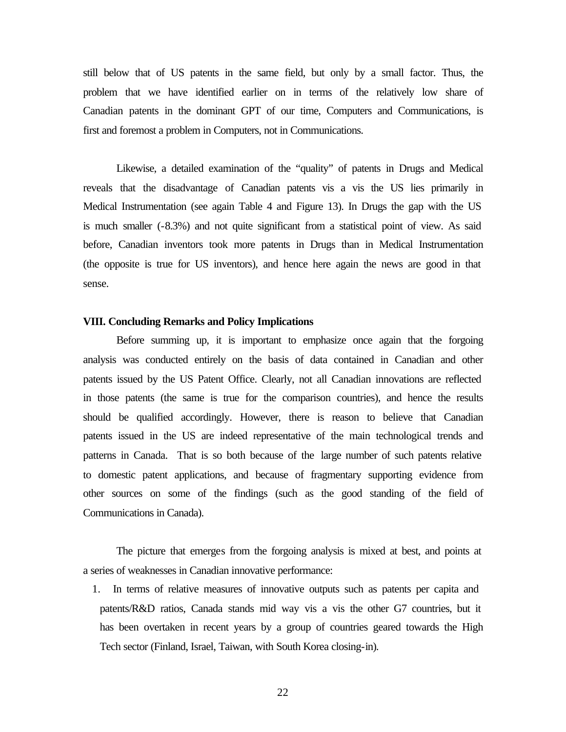still below that of US patents in the same field, but only by a small factor. Thus, the problem that we have identified earlier on in terms of the relatively low share of Canadian patents in the dominant GPT of our time, Computers and Communications, is first and foremost a problem in Computers, not in Communications.

Likewise, a detailed examination of the "quality" of patents in Drugs and Medical reveals that the disadvantage of Canadian patents vis a vis the US lies primarily in Medical Instrumentation (see again Table 4 and Figure 13). In Drugs the gap with the US is much smaller (-8.3%) and not quite significant from a statistical point of view. As said before, Canadian inventors took more patents in Drugs than in Medical Instrumentation (the opposite is true for US inventors), and hence here again the news are good in that sense.

### **VIII. Concluding Remarks and Policy Implications**

Before summing up, it is important to emphasize once again that the forgoing analysis was conducted entirely on the basis of data contained in Canadian and other patents issued by the US Patent Office. Clearly, not all Canadian innovations are reflected in those patents (the same is true for the comparison countries), and hence the results should be qualified accordingly. However, there is reason to believe that Canadian patents issued in the US are indeed representative of the main technological trends and patterns in Canada. That is so both because of the large number of such patents relative to domestic patent applications, and because of fragmentary supporting evidence from other sources on some of the findings (such as the good standing of the field of Communications in Canada).

The picture that emerges from the forgoing analysis is mixed at best, and points at a series of weaknesses in Canadian innovative performance:

1. In terms of relative measures of innovative outputs such as patents per capita and patents/R&D ratios, Canada stands mid way vis a vis the other G7 countries, but it has been overtaken in recent years by a group of countries geared towards the High Tech sector (Finland, Israel, Taiwan, with South Korea closing-in).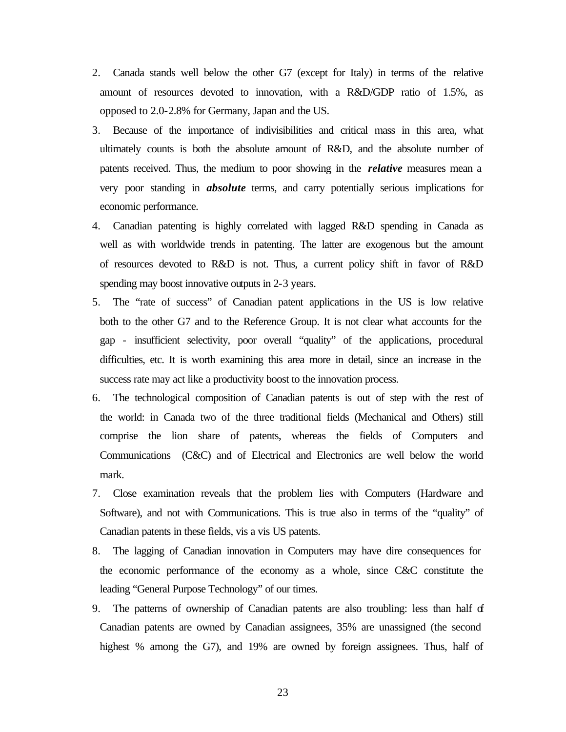- 2. Canada stands well below the other G7 (except for Italy) in terms of the relative amount of resources devoted to innovation, with a R&D/GDP ratio of 1.5%, as opposed to 2.0-2.8% for Germany, Japan and the US.
- 3. Because of the importance of indivisibilities and critical mass in this area, what ultimately counts is both the absolute amount of R&D, and the absolute number of patents received. Thus, the medium to poor showing in the *relative* measures mean a very poor standing in *absolute* terms, and carry potentially serious implications for economic performance.
- 4. Canadian patenting is highly correlated with lagged R&D spending in Canada as well as with worldwide trends in patenting. The latter are exogenous but the amount of resources devoted to R&D is not. Thus, a current policy shift in favor of R&D spending may boost innovative outputs in 2-3 years.
- 5. The "rate of success" of Canadian patent applications in the US is low relative both to the other G7 and to the Reference Group. It is not clear what accounts for the gap - insufficient selectivity, poor overall "quality" of the applications, procedural difficulties, etc. It is worth examining this area more in detail, since an increase in the success rate may act like a productivity boost to the innovation process.
- 6. The technological composition of Canadian patents is out of step with the rest of the world: in Canada two of the three traditional fields (Mechanical and Others) still comprise the lion share of patents, whereas the fields of Computers and Communications (C&C) and of Electrical and Electronics are well below the world mark.
- 7. Close examination reveals that the problem lies with Computers (Hardware and Software), and not with Communications. This is true also in terms of the "quality" of Canadian patents in these fields, vis a vis US patents.
- 8. The lagging of Canadian innovation in Computers may have dire consequences for the economic performance of the economy as a whole, since C&C constitute the leading "General Purpose Technology" of our times.
- 9. The patterns of ownership of Canadian patents are also troubling: less than half of Canadian patents are owned by Canadian assignees, 35% are unassigned (the second highest % among the G7), and 19% are owned by foreign assignees. Thus, half of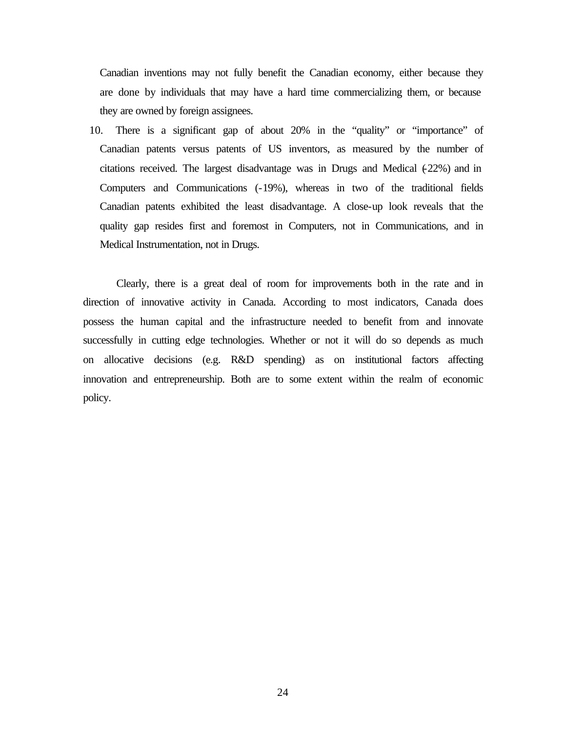Canadian inventions may not fully benefit the Canadian economy, either because they are done by individuals that may have a hard time commercializing them, or because they are owned by foreign assignees.

10. There is a significant gap of about 20% in the "quality" or "importance" of Canadian patents versus patents of US inventors, as measured by the number of citations received. The largest disadvantage was in Drugs and Medical  $(22%)$  and in Computers and Communications (-19%), whereas in two of the traditional fields Canadian patents exhibited the least disadvantage. A close-up look reveals that the quality gap resides first and foremost in Computers, not in Communications, and in Medical Instrumentation, not in Drugs.

Clearly, there is a great deal of room for improvements both in the rate and in direction of innovative activity in Canada. According to most indicators, Canada does possess the human capital and the infrastructure needed to benefit from and innovate successfully in cutting edge technologies. Whether or not it will do so depends as much on allocative decisions (e.g. R&D spending) as on institutional factors affecting innovation and entrepreneurship. Both are to some extent within the realm of economic policy.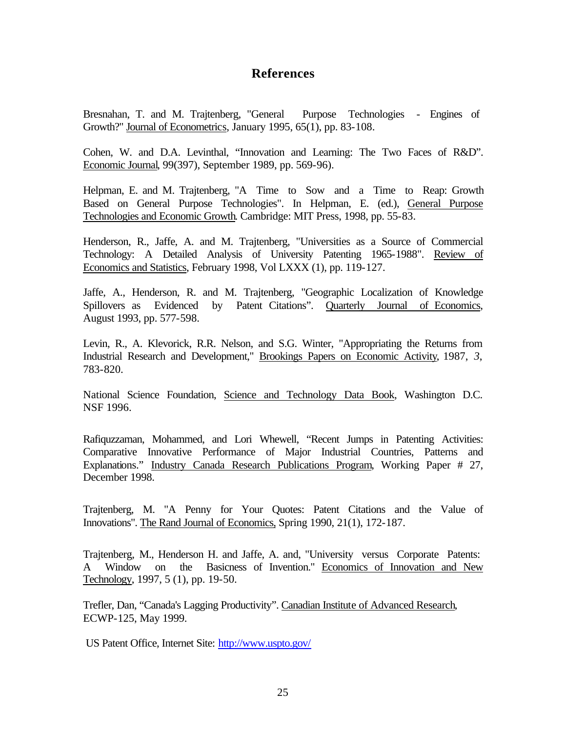### **References**

Bresnahan, T. and M. Trajtenberg, "General Purpose Technologies - Engines of Growth?" Journal of Econometrics, January 1995, 65(1), pp. 83-108.

Cohen, W. and D.A. Levinthal, "Innovation and Learning: The Two Faces of R&D". Economic Journal, 99(397), September 1989, pp. 569-96).

Helpman, E. and M. Trajtenberg, "A Time to Sow and a Time to Reap: Growth Based on General Purpose Technologies". In Helpman, E. (ed.), General Purpose Technologies and Economic Growth. Cambridge: MIT Press, 1998, pp. 55-83.

Henderson, R., Jaffe, A. and M. Trajtenberg, "Universities as a Source of Commercial Technology: A Detailed Analysis of University Patenting 1965-1988". Review of Economics and Statistics, February 1998, Vol LXXX (1), pp. 119-127.

Jaffe, A., Henderson, R. and M. Trajtenberg, "Geographic Localization of Knowledge Spillovers as Evidenced by Patent Citations". Quarterly Journal of Economics, August 1993, pp. 577-598.

Levin, R., A. Klevorick, R.R. Nelson, and S.G. Winter, "Appropriating the Returns from Industrial Research and Development," Brookings Papers on Economic Activity, 1987, *3*, 783-820.

National Science Foundation, Science and Technology Data Book, Washington D.C. NSF 1996.

Rafiquzzaman, Mohammed, and Lori Whewell, "Recent Jumps in Patenting Activities: Comparative Innovative Performance of Major Industrial Countries, Patterns and Explanations." Industry Canada Research Publications Program, Working Paper # 27, December 1998.

Trajtenberg, M. "A Penny for Your Quotes: Patent Citations and the Value of Innovations". The Rand Journal of Economics, Spring 1990, 21(1), 172-187.

Trajtenberg, M., Henderson H. and Jaffe, A. and, "University versus Corporate Patents: A Window on the Basicness of Invention." Economics of Innovation and New Technology, 1997, 5 (1), pp. 19-50.

Trefler, Dan, "Canada's Lagging Productivity". Canadian Institute of Advanced Research, ECWP-125, May 1999.

US Patent Office, Internet Site: http://www.uspto.gov/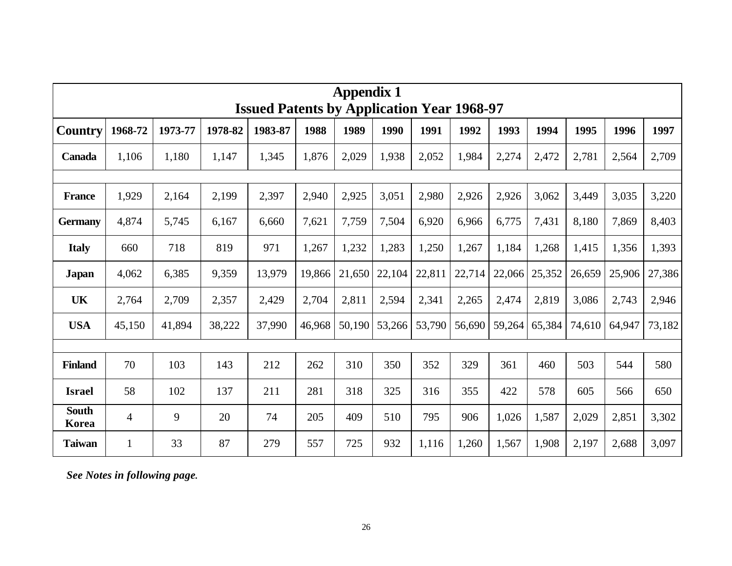| <b>Appendix 1</b><br><b>Issued Patents by Application Year 1968-97</b> |                |         |         |         |        |        |        |        |        |        |        |        |        |        |
|------------------------------------------------------------------------|----------------|---------|---------|---------|--------|--------|--------|--------|--------|--------|--------|--------|--------|--------|
| <b>Country</b>                                                         | 1968-72        | 1973-77 | 1978-82 | 1983-87 | 1988   | 1989   | 1990   | 1991   | 1992   | 1993   | 1994   | 1995   | 1996   | 1997   |
| Canada                                                                 | 1,106          | 1,180   | 1,147   | 1,345   | 1,876  | 2,029  | 1,938  | 2,052  | 1,984  | 2,274  | 2,472  | 2,781  | 2,564  | 2,709  |
|                                                                        |                |         |         |         |        |        |        |        |        |        |        |        |        |        |
| <b>France</b>                                                          | 1,929          | 2,164   | 2,199   | 2,397   | 2,940  | 2,925  | 3,051  | 2,980  | 2,926  | 2,926  | 3,062  | 3,449  | 3,035  | 3,220  |
| <b>Germany</b>                                                         | 4,874          | 5,745   | 6,167   | 6,660   | 7,621  | 7,759  | 7,504  | 6,920  | 6,966  | 6,775  | 7,431  | 8,180  | 7,869  | 8,403  |
| <b>Italy</b>                                                           | 660            | 718     | 819     | 971     | 1,267  | 1,232  | 1,283  | 1,250  | 1,267  | 1,184  | 1,268  | 1,415  | 1,356  | 1,393  |
| Japan                                                                  | 4,062          | 6,385   | 9,359   | 13,979  | 19,866 | 21,650 | 22,104 | 22,811 | 22,714 | 22,066 | 25,352 | 26,659 | 25,906 | 27,386 |
| UK                                                                     | 2,764          | 2,709   | 2,357   | 2,429   | 2,704  | 2,811  | 2,594  | 2,341  | 2,265  | 2,474  | 2,819  | 3,086  | 2,743  | 2,946  |
| <b>USA</b>                                                             | 45,150         | 41,894  | 38,222  | 37,990  | 46,968 | 50,190 | 53,266 | 53,790 | 56,690 | 59,264 | 65,384 | 74,610 | 64,947 | 73,182 |
|                                                                        |                |         |         |         |        |        |        |        |        |        |        |        |        |        |
| <b>Finland</b>                                                         | 70             | 103     | 143     | 212     | 262    | 310    | 350    | 352    | 329    | 361    | 460    | 503    | 544    | 580    |
| <b>Israel</b>                                                          | 58             | 102     | 137     | 211     | 281    | 318    | 325    | 316    | 355    | 422    | 578    | 605    | 566    | 650    |
| <b>South</b><br>Korea                                                  | $\overline{4}$ | 9       | 20      | 74      | 205    | 409    | 510    | 795    | 906    | 1,026  | 1,587  | 2,029  | 2,851  | 3,302  |
| <b>Taiwan</b>                                                          | $\mathbf{1}$   | 33      | 87      | 279     | 557    | 725    | 932    | 1,116  | 1,260  | 1,567  | 1,908  | 2,197  | 2,688  | 3,097  |

*See Notes in following page.*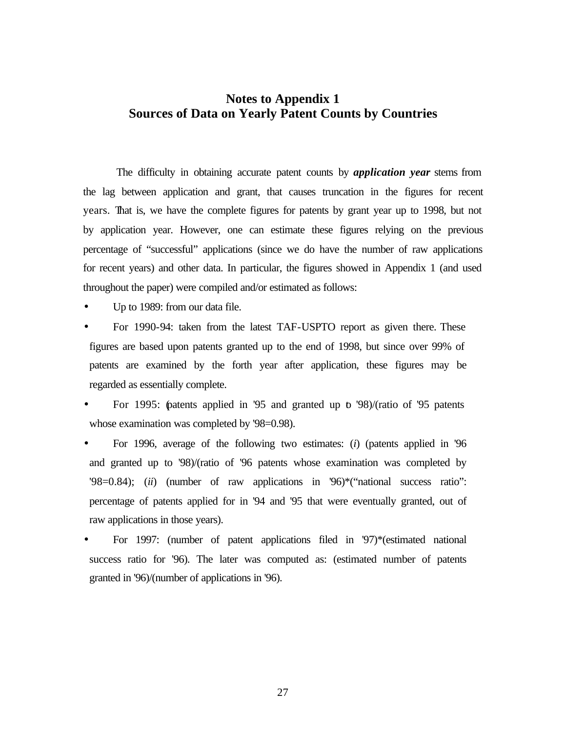### **Notes to Appendix 1 Sources of Data on Yearly Patent Counts by Countries**

The difficulty in obtaining accurate patent counts by *application year* stems from the lag between application and grant, that causes truncation in the figures for recent years. That is, we have the complete figures for patents by grant year up to 1998, but not by application year. However, one can estimate these figures relying on the previous percentage of "successful" applications (since we do have the number of raw applications for recent years) and other data. In particular, the figures showed in Appendix 1 (and used throughout the paper) were compiled and/or estimated as follows:

Up to 1989: from our data file.

- For 1990-94: taken from the latest TAF-USPTO report as given there. These figures are based upon patents granted up to the end of 1998, but since over 99% of patents are examined by the forth year after application, these figures may be regarded as essentially complete.
- For 1995: (patents applied in '95 and granted up to '98)/(ratio of '95 patents whose examination was completed by '98=0.98).
- For 1996, average of the following two estimates: (*i*) (patents applied in '96 and granted up to '98)/(ratio of '96 patents whose examination was completed by '98=0.84); (*ii*) (number of raw applications in '96)\*("national success ratio": percentage of patents applied for in '94 and '95 that were eventually granted, out of raw applications in those years).
- For 1997: (number of patent applications filed in '97)\*(estimated national success ratio for '96). The later was computed as: (estimated number of patents granted in '96)/(number of applications in '96).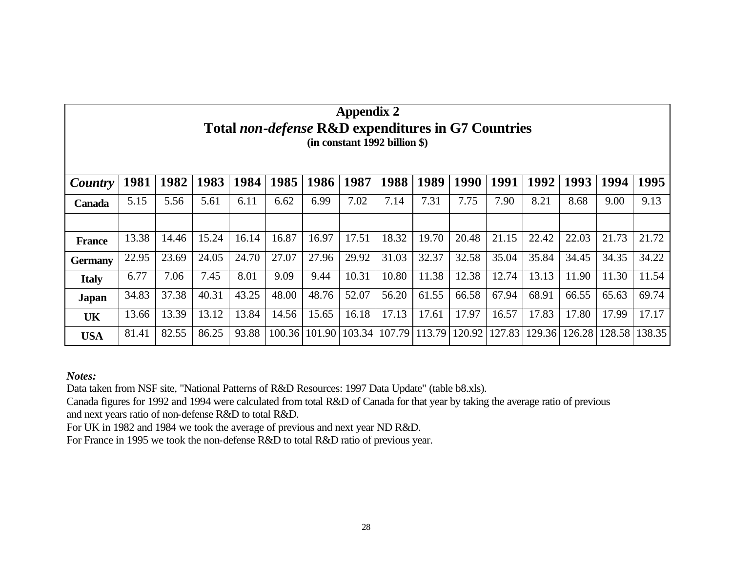|                | $\mu$<br><b>Total non-defense R&amp;D expenditures in G7 Countries</b><br>$(in constant 1992 billion$ \$) |       |       |       |        |        |        |        |        |        |        |        |        |        |        |
|----------------|-----------------------------------------------------------------------------------------------------------|-------|-------|-------|--------|--------|--------|--------|--------|--------|--------|--------|--------|--------|--------|
| Country        | 1981                                                                                                      | 1982  | 1983  | 1984  | 1985   | 1986   | 1987   | 1988   | 1989   | 1990   | 1991   | 1992   | 1993   | 1994   | 1995   |
| <b>Canada</b>  | 5.15                                                                                                      | 5.56  | 5.61  | 6.11  | 6.62   | 6.99   | 7.02   | 7.14   | 7.31   | 7.75   | 7.90   | 8.21   | 8.68   | 9.00   | 9.13   |
|                |                                                                                                           |       |       |       |        |        |        |        |        |        |        |        |        |        |        |
| <b>France</b>  | 13.38                                                                                                     | 14.46 | 15.24 | 16.14 | 16.87  | 16.97  | 17.51  | 18.32  | 19.70  | 20.48  | 21.15  | 22.42  | 22.03  | 21.73  | 21.72  |
| <b>Germany</b> | 22.95                                                                                                     | 23.69 | 24.05 | 24.70 | 27.07  | 27.96  | 29.92  | 31.03  | 32.37  | 32.58  | 35.04  | 35.84  | 34.45  | 34.35  | 34.22  |
| <b>Italy</b>   | 6.77                                                                                                      | 7.06  | 7.45  | 8.01  | 9.09   | 9.44   | 10.31  | 10.80  | 11.38  | 12.38  | 12.74  | 13.13  | 11.90  | 11.30  | 11.54  |
| <b>Japan</b>   | 34.83                                                                                                     | 37.38 | 40.31 | 43.25 | 48.00  | 48.76  | 52.07  | 56.20  | 61.55  | 66.58  | 67.94  | 68.91  | 66.55  | 65.63  | 69.74  |
| UK             | 13.66                                                                                                     | 13.39 | 13.12 | 13.84 | 14.56  | 15.65  | 16.18  | 17.13  | 17.61  | 17.97  | 16.57  | 17.83  | 17.80  | 17.99  | 17.17  |
| <b>USA</b>     | 81.41                                                                                                     | 82.55 | 86.25 | 93.88 | 100.36 | 101.90 | 103.34 | 107.79 | 113.79 | 120.92 | 127.83 | 129.36 | 126.28 | 128.58 | 138.35 |

Appendix 2

*Notes:*

Data taken from NSF site, "National Patterns of R&D Resources: 1997 Data Update" (table b8.xls).

Canada figures for 1992 and 1994 were calculated from total R&D of Canada for that year by taking the average ratio of previous and next years ratio of non-defense R&D to total R&D.

For UK in 1982 and 1984 we took the average of previous and next year ND R&D.

For France in 1995 we took the non-defense R&D to total R&D ratio of previous year.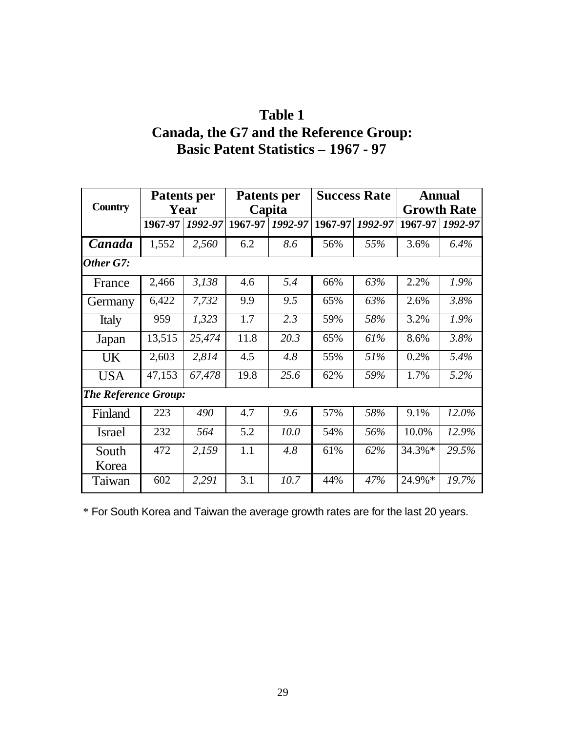# **Table 1**

# **Canada, the G7 and the Reference Group: Basic Patent Statistics – 1967 - 97**

|                             |         | <b>Patents per</b> |         | <b>Patents per</b> |         | <b>Success Rate</b> |         | <b>Annual</b>      |
|-----------------------------|---------|--------------------|---------|--------------------|---------|---------------------|---------|--------------------|
| <b>Country</b>              |         | Year               |         | Capita             |         |                     |         | <b>Growth Rate</b> |
|                             | 1967-97 | 1992-97            | 1967-97 | 1992-97            | 1967-97 | 1992-97             | 1967-97 | 1992-97            |
| Canada                      | 1,552   | 2,560              | 6.2     | 8.6                | 56%     | 55%                 | 3.6%    | 6.4%               |
| Other G7:                   |         |                    |         |                    |         |                     |         |                    |
| France                      | 2,466   | 3,138              | 4.6     | 5.4                | 66%     | 63%                 | 2.2%    | 1.9%               |
| Germany                     | 6,422   | 7,732              | 9.9     | 9.5                | 65%     | 63%                 | 2.6%    | 3.8%               |
| Italy                       | 959     | 1,323              | 1.7     | 2.3                | 59%     | 58%                 | 3.2%    | 1.9%               |
| Japan                       | 13,515  | 25,474             | 11.8    | 20.3               | 65%     | 61%                 | 8.6%    | 3.8%               |
| <b>UK</b>                   | 2,603   | 2,814              | 4.5     | 4.8                | 55%     | 51%                 | 0.2%    | 5.4%               |
| <b>USA</b>                  | 47,153  | 67,478             | 19.8    | 25.6               | 62%     | 59%                 | 1.7%    | 5.2%               |
| <b>The Reference Group:</b> |         |                    |         |                    |         |                     |         |                    |
| Finland                     | 223     | 490                | 4.7     | 9.6                | 57%     | 58%                 | 9.1%    | 12.0%              |
| <b>Israel</b>               | 232     | 564                | 5.2     | 10.0               | 54%     | 56%                 | 10.0%   | 12.9%              |
| South                       | 472     | 2,159              | 1.1     | 4.8                | 61%     | 62%                 | 34.3%*  | 29.5%              |
| Korea                       |         |                    |         |                    |         |                     |         |                    |
| Taiwan                      | 602     | 2,291              | 3.1     | 10.7               | 44%     | 47%                 | 24.9%*  | 19.7%              |

\* For South Korea and Taiwan the average growth rates are for the last 20 years.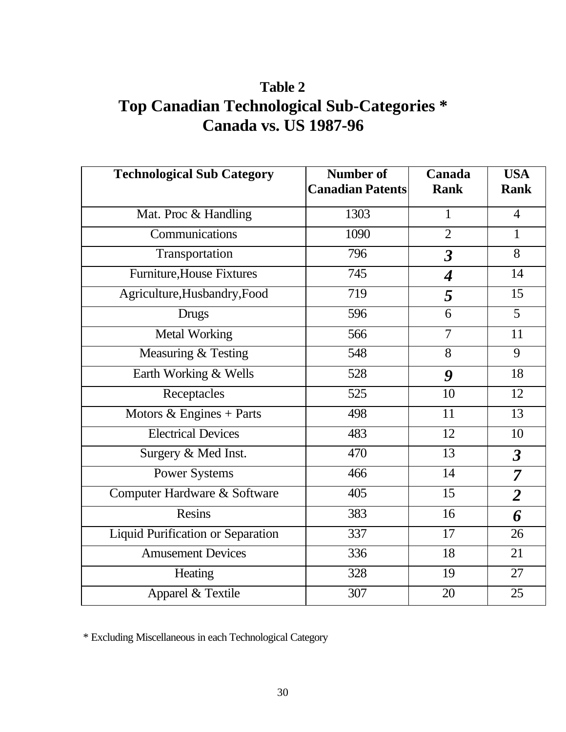# **Table 2 Top Canadian Technological Sub-Categories \* Canada vs. US 1987-96**

| <b>Technological Sub Category</b>        | <b>Number of</b><br><b>Canadian Patents</b> | Canada<br><b>Rank</b>   | <b>USA</b><br><b>Rank</b> |
|------------------------------------------|---------------------------------------------|-------------------------|---------------------------|
| Mat. Proc & Handling                     | 1303                                        | $\mathbf{1}$            | $\overline{4}$            |
| Communications                           | 1090                                        | $\overline{2}$          | 1                         |
| Transportation                           | 796                                         | $\overline{\mathbf{3}}$ | 8                         |
| <b>Furniture, House Fixtures</b>         | 745                                         | $\boldsymbol{4}$        | 14                        |
| Agriculture, Husbandry, Food             | 719                                         | 5                       | 15                        |
| <b>Drugs</b>                             | 596                                         | 6                       | 5                         |
| <b>Metal Working</b>                     | 566                                         | $\overline{7}$          | 11                        |
| Measuring & Testing                      | 548                                         | 8                       | 9                         |
| Earth Working & Wells                    | 528                                         | 9                       | 18                        |
| Receptacles                              | 525                                         | 10                      | 12                        |
| Motors $&$ Engines + Parts               | 498                                         | 11                      | 13                        |
| <b>Electrical Devices</b>                | 483                                         | 12                      | 10                        |
| Surgery & Med Inst.                      | 470                                         | 13                      | $\boldsymbol{\beta}$      |
| <b>Power Systems</b>                     | 466                                         | 14                      | $\overline{7}$            |
| Computer Hardware & Software             | 405                                         | 15                      | $\overline{2}$            |
| <b>Resins</b>                            | 383                                         | 16                      | 6                         |
| <b>Liquid Purification or Separation</b> | 337                                         | 17                      | 26                        |
| <b>Amusement Devices</b>                 | 336                                         | 18                      | 21                        |
| Heating                                  | 328                                         | 19                      | 27                        |
| Apparel & Textile                        | 307                                         | 20                      | 25                        |

\* Excluding Miscellaneous in each Technological Category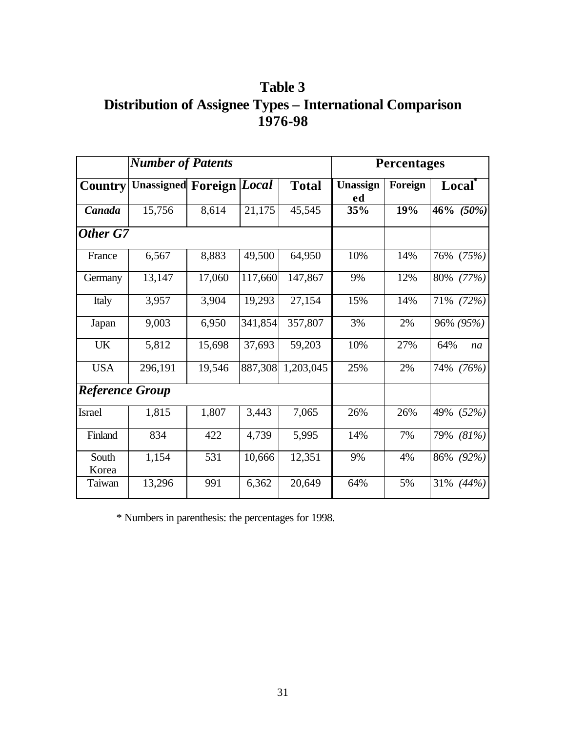**Table 3 Distribution of Assignee Types – International Comparison 1976-98**

|                        | <b>Number of Patents</b>        |        |         | <b>Percentages</b> |                |         |              |
|------------------------|---------------------------------|--------|---------|--------------------|----------------|---------|--------------|
| <b>Country</b>         | <b>Unassigned Foreign Local</b> |        |         | <b>Total</b>       | Unassign<br>ed | Foreign | <b>Local</b> |
| Canada                 | 15,756                          | 8,614  | 21,175  | 45,545             | 35%            | 19%     | 46% $(50\%)$ |
| Other G7               |                                 |        |         |                    |                |         |              |
| France                 | 6,567                           | 8,883  | 49,500  | 64,950             | 10%            | 14%     | 76%<br>(75%) |
| Germany                | 13,147                          | 17,060 | 117,660 | 147,867            | 9%             | 12%     | 80% (77%)    |
| Italy                  | 3,957                           | 3,904  | 19,293  | 27,154             | 15%            | 14%     | 71% (72%)    |
| Japan                  | 9,003                           | 6,950  | 341,854 | 357,807            | 3%             | 2%      | 96% (95%)    |
| <b>UK</b>              | 5,812                           | 15,698 | 37,693  | 59,203             | 10%            | 27%     | 64%<br>na    |
| <b>USA</b>             | 296,191                         | 19,546 | 887,308 | 1,203,045          | 25%            | 2%      | 74%<br>(76%) |
| <b>Reference Group</b> |                                 |        |         |                    |                |         |              |
| <b>Israel</b>          | 1,815                           | 1,807  | 3,443   | 7,065              | 26%            | 26%     | 49%<br>(52%) |
| Finland                | 834                             | 422    | 4,739   | 5,995              | 14%            | 7%      | 79%<br>(81%) |
| South<br>Korea         | 1,154                           | 531    | 10,666  | 12,351             | 9%             | 4%      | 86%<br>(92%) |
| Taiwan                 | 13,296                          | 991    | 6,362   | 20,649             | 64%            | 5%      | 31%<br>(44%  |

\* Numbers in parenthesis: the percentages for 1998.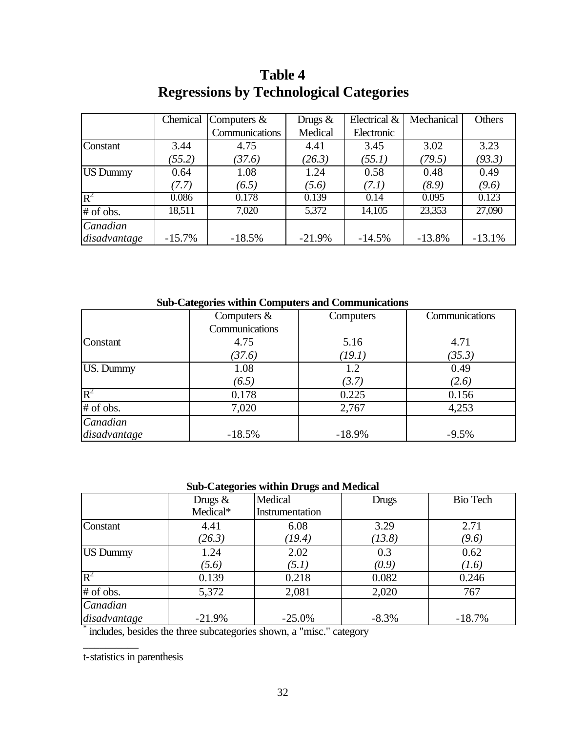|                 | Chemical | Computers $&$  | Drugs $&$ | Electrical & | Mechanical | Others   |
|-----------------|----------|----------------|-----------|--------------|------------|----------|
|                 |          | Communications | Medical   | Electronic   |            |          |
| Constant        | 3.44     | 4.75           | 4.41      | 3.45         | 3.02       | 3.23     |
|                 | (55.2)   | (37.6)         | (26.3)    | (55.1)       | (79.5)     | (93.3)   |
| <b>US Dummy</b> | 0.64     | 1.08           | 1.24      | 0.58         | 0.48       | 0.49     |
|                 | (7.7)    | (6.5)          | (5.6)     | (7.1)        | (8.9)      | (9.6)    |
| $R^2$           | 0.086    | 0.178          | 0.139     | 0.14         | 0.095      | 0.123    |
| # of obs.       | 18,511   | 7,020          | 5,372     | 14,105       | 23,353     | 27,090   |
| Canadian        |          |                |           |              |            |          |
| disadvantage    | $-15.7%$ | $-18.5%$       | $-21.9%$  | $-14.5%$     | $-13.8%$   | $-13.1%$ |

# **Table 4 Regressions by Technological Categories**

**Sub-Categories within Computers and Communications**

|              | Computers $&$  | Computers | Communications |
|--------------|----------------|-----------|----------------|
|              | Communications |           |                |
| Constant     | 4.75           | 5.16      | 4.71           |
|              | (37.6)         | (19.1)    | (35.3)         |
| US. Dummy    | 1.08           | 1.2       | 0.49           |
|              | (6.5)          | (3.7)     | (2.6)          |
| $R^2$        | 0.178          | 0.225     | 0.156          |
| # of obs.    | 7,020          | 2,767     | 4,253          |
| Canadian     |                |           |                |
| disadvantage | $-18.5%$       | $-18.9%$  | $-9.5%$        |

### **Sub-Categories within Drugs and Medical**

|              | Drugs $&$ | Medical         | Drugs   | <b>Bio Tech</b> |
|--------------|-----------|-----------------|---------|-----------------|
|              | Medical*  | Instrumentation |         |                 |
| Constant     | 4.41      | 6.08            | 3.29    | 2.71            |
|              | (26.3)    | (19.4)          | (13.8)  | (9.6)           |
| US Dummy     | 1.24      | 2.02            | 0.3     | 0.62            |
|              | (5.6)     | (5.1)           | (0.9)   | (1.6)           |
| $R^2$        | 0.139     | 0.218           | 0.082   | 0.246           |
| # of obs.    | 5,372     | 2,081           | 2,020   | 767             |
| Canadian     |           |                 |         |                 |
| disadvantage | $-21.9%$  | $-25.0%$        | $-8.3%$ | $-18.7%$        |

\* includes, besides the three subcategories shown, a "misc." category

t-statistics in parenthesis

\_\_\_\_\_\_\_\_\_\_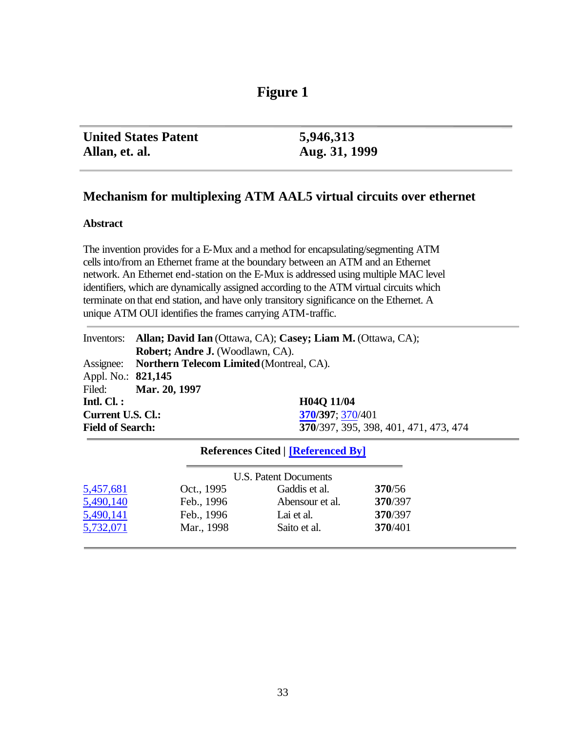## **Figure 1**

| <b>United States Patent</b> | 5,946,313     |
|-----------------------------|---------------|
| Allan, et. al.              | Aug. 31, 1999 |

### **Mechanism for multiplexing ATM AAL5 virtual circuits over ethernet**

### **Abstract**

The invention provides for a E-Mux and a method for encapsulating/segmenting ATM cells into/from an Ethernet frame at the boundary between an ATM and an Ethernet network. An Ethernet end-station on the E-Mux is addressed using multiple MAC level identifiers, which are dynamically assigned according to the ATM virtual circuits which terminate on that end station, and have only transitory significance on the Ethernet. A unique ATM OUI identifies the frames carrying ATM-traffic.

|                          |                                                    | Inventors: Allan; David Ian (Ottawa, CA); Casey; Liam M. (Ottawa, CA); |
|--------------------------|----------------------------------------------------|------------------------------------------------------------------------|
|                          | Robert; Andre J. (Woodlawn, CA).                   |                                                                        |
|                          | Assignee: Northern Telecom Limited (Montreal, CA). |                                                                        |
| Appl. No.: 821,145       |                                                    |                                                                        |
|                          | Filed: Mar. 20, 1997                               |                                                                        |
| Intl. $Cl.$ :            |                                                    | H04Q 11/04                                                             |
| <b>Current U.S. Cl.:</b> |                                                    | 370/397; 370/401                                                       |
| <b>Field of Search:</b>  |                                                    | 370/397, 395, 398, 401, 471, 473, 474                                  |

### **References Cited | [Referenced By]**

|           |            | <b>U.S. Patent Documents</b> |         |
|-----------|------------|------------------------------|---------|
| 5,457,681 | Oct., 1995 | Gaddis et al.                | 370/56  |
| 5,490,140 | Feb., 1996 | Abensour et al.              | 370/397 |
| 5,490,141 | Feb., 1996 | Lai et al.                   | 370/397 |
| 5,732,071 | Mar., 1998 | Saito et al.                 | 370/401 |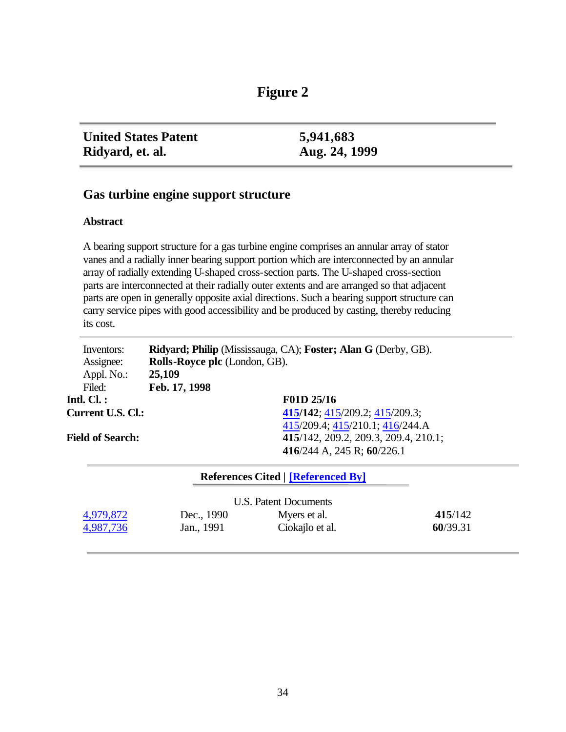| 8 T<br>pur |  |
|------------|--|
|------------|--|

| <b>United States Patent</b> | 5,941,683     |
|-----------------------------|---------------|
| Ridyard, et. al.            | Aug. 24, 1999 |

### **Gas turbine engine support structure**

### **Abstract**

A bearing support structure for a gas turbine engine comprises an annular array of stator vanes and a radially inner bearing support portion which are interconnected by an annular array of radially extending U-shaped cross-section parts. The U-shaped cross-section parts are interconnected at their radially outer extents and are arranged so that adjacent parts are open in generally opposite axial directions. Such a bearing support structure can carry service pipes with good accessibility and be produced by casting, thereby reducing its cost.

| Inventors:               |                               | <b>Ridyard; Philip</b> (Mississauga, CA); <b>Foster; Alan G</b> (Derby, GB). |
|--------------------------|-------------------------------|------------------------------------------------------------------------------|
| Assignee:                | Rolls-Royce plc (London, GB). |                                                                              |
| Appl. No.:               | 25,109                        |                                                                              |
| Filed:                   | Feb. 17, 1998                 |                                                                              |
| Intl. Cl. $:$            |                               | F01D 25/16                                                                   |
| <b>Current U.S. Cl.:</b> |                               | 415/142; 415/209.2; 415/209.3;                                               |
|                          |                               | 415/209.4; 415/210.1; 416/244.A                                              |
| <b>Field of Search:</b>  |                               | 415/142, 209.2, 209.3, 209.4, 210.1;                                         |
|                          |                               | 416/244 A, 245 R; 60/226.1                                                   |

|           |            | <b>References Cited   [Referenced By]</b> |          |
|-----------|------------|-------------------------------------------|----------|
|           |            | U.S. Patent Documents                     |          |
| 4,979,872 | Dec., 1990 | Myers et al.                              | 415/142  |
| 4,987,736 | Jan., 1991 | Ciokajlo et al.                           | 60/39.31 |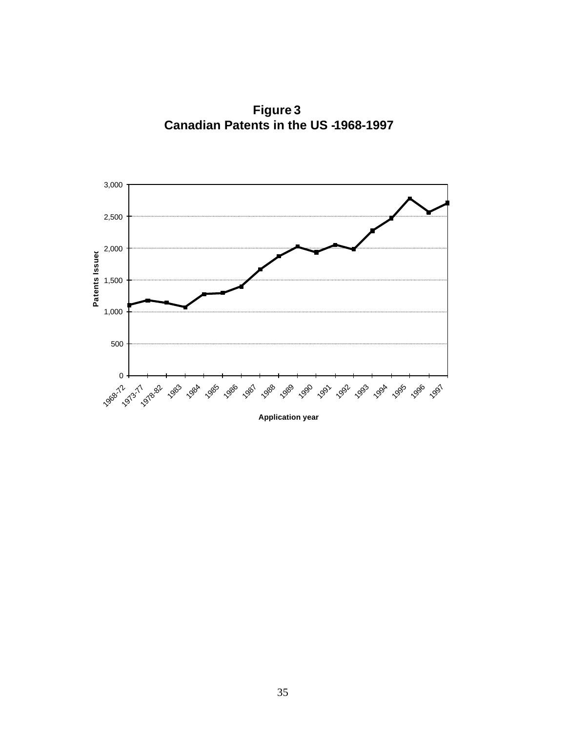**Figure 3 Canadian Patents in the US -1968-1997** 



**Application year**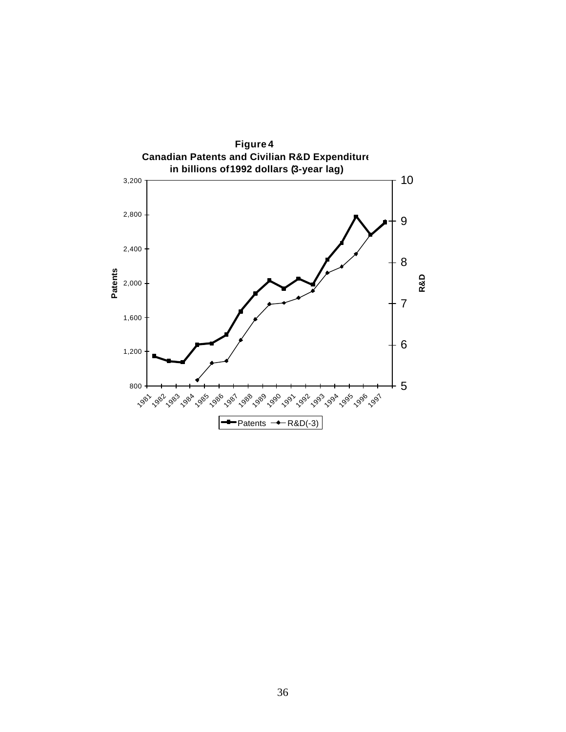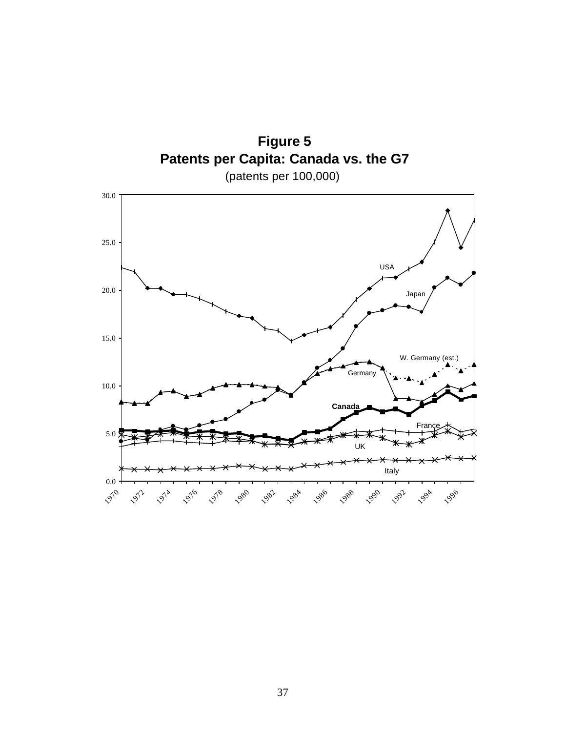

37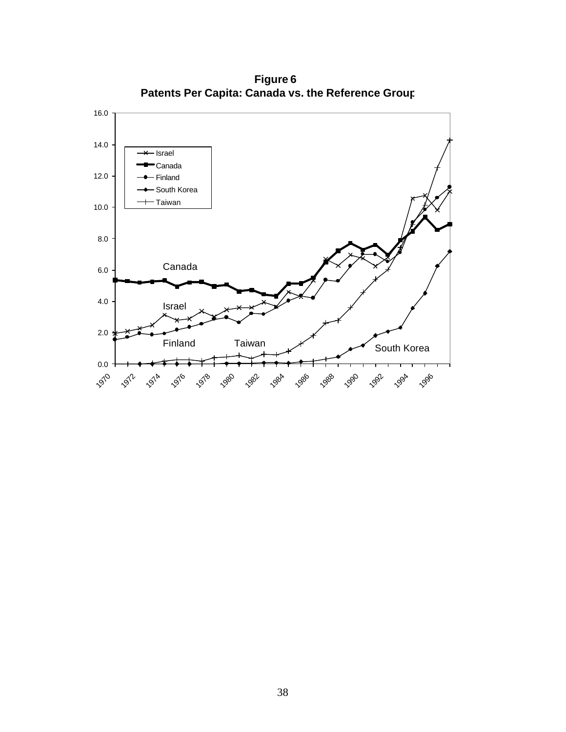

**Figure 6 Patents Per Capita: Canada vs. the Reference Group**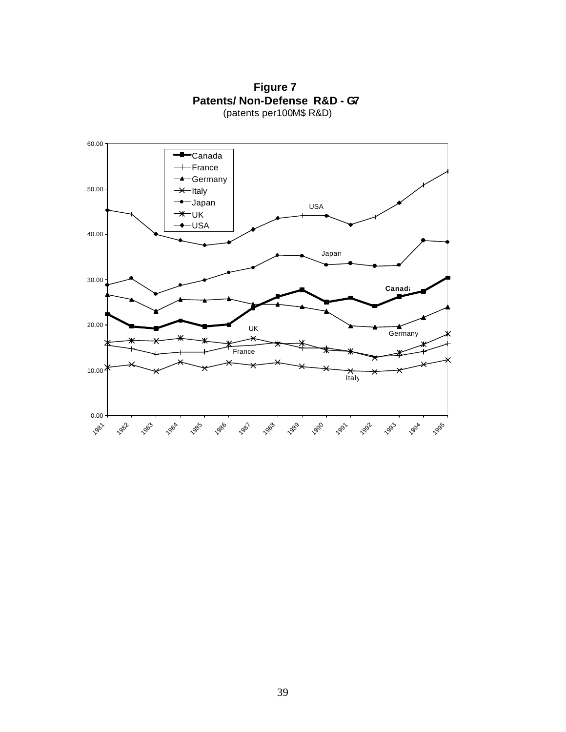

**Figure 7 Patents/ Non-Defense R&D - G7** (patents per 100M\$ R&D)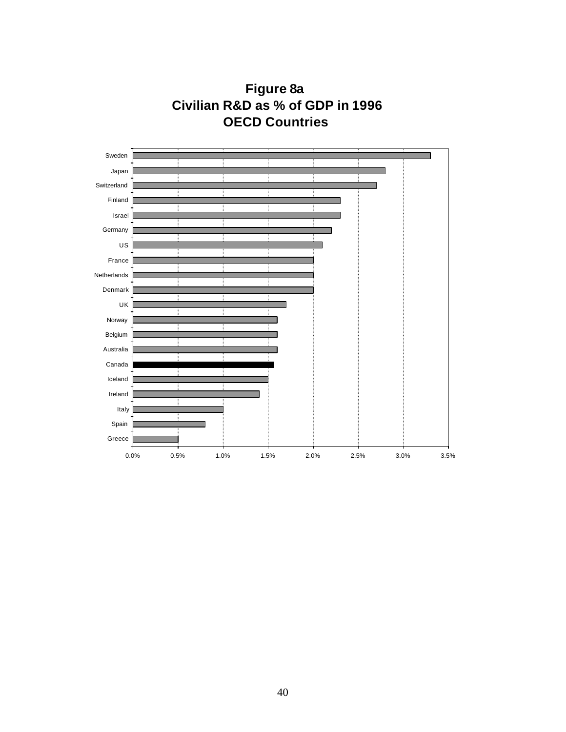

**Figure 8a Civilian R&D as % of GDP in 1996 OECD Countries**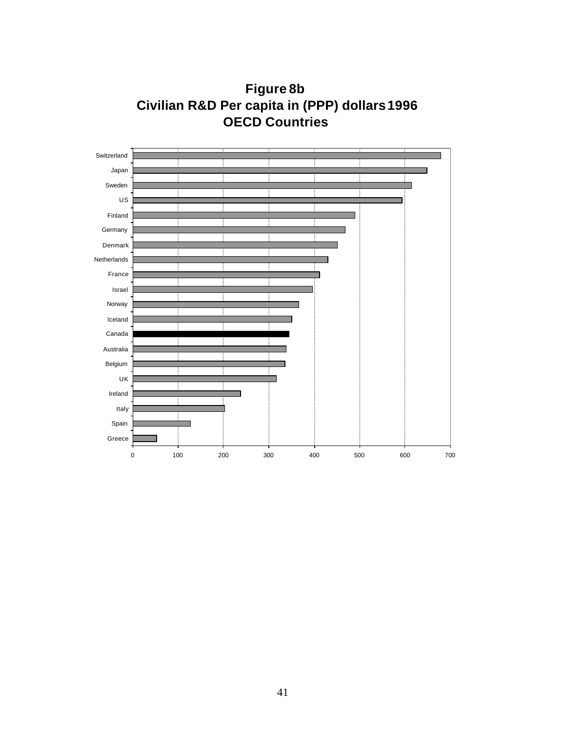

**Figure 8b Civilian R&D Per capita in (PPP) dollars 1996 OECD Countries**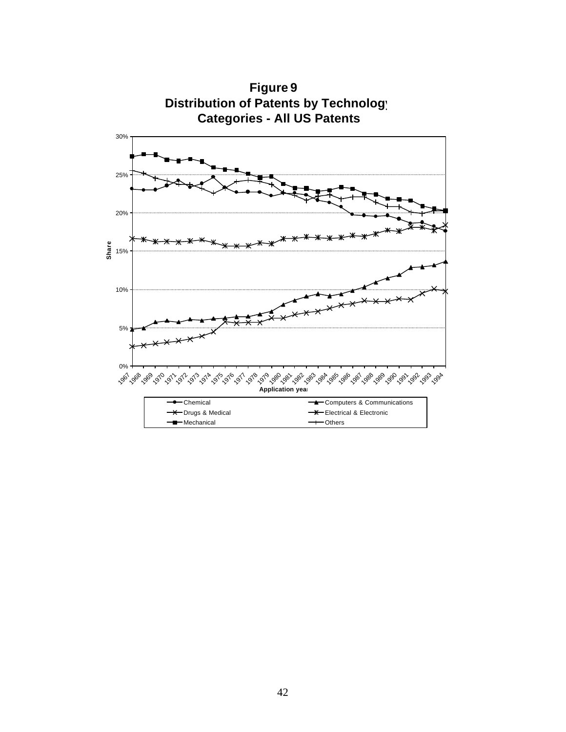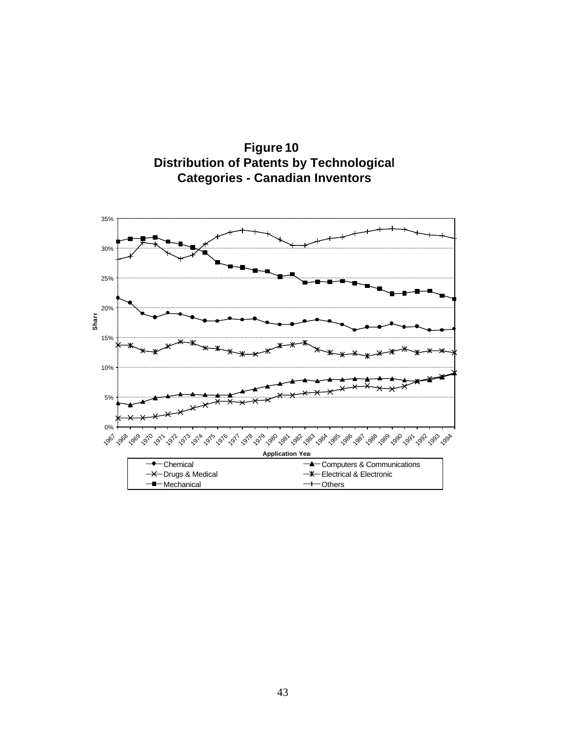

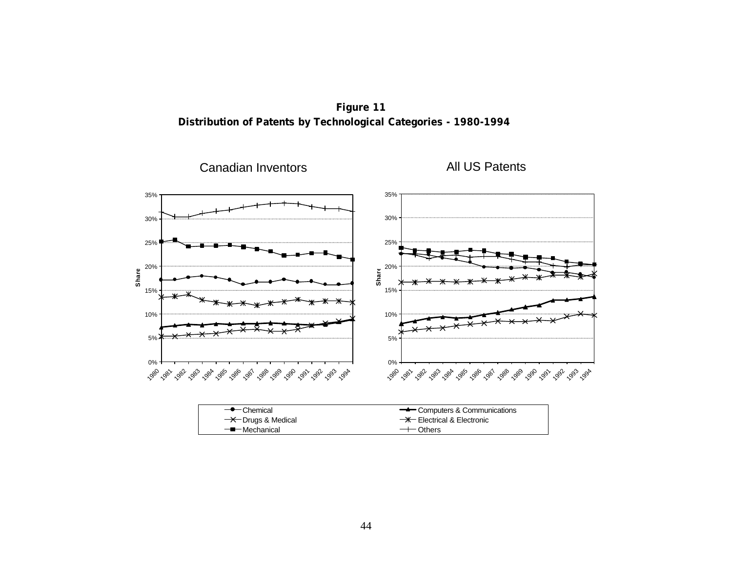**Distribution of Patents by Technological Categories - 1980-1994 Figure 11**

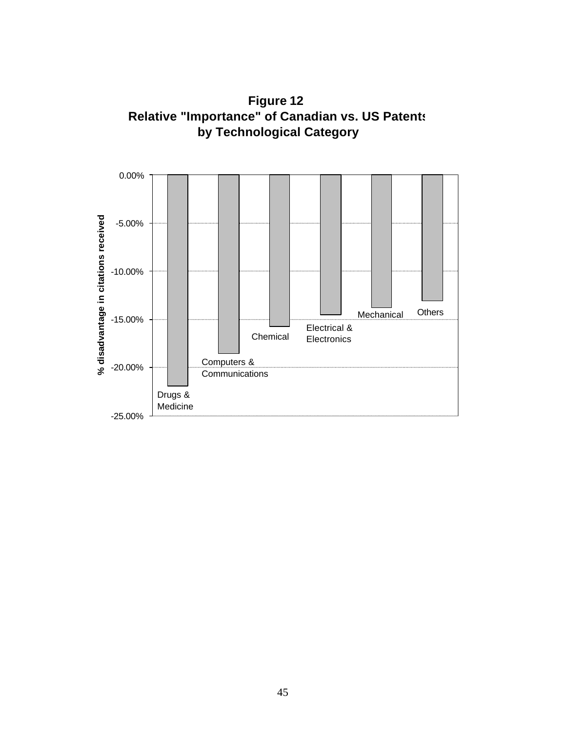

**Figure 12 Relative "Importance" of Canadian vs. US Patents by Technological Category**